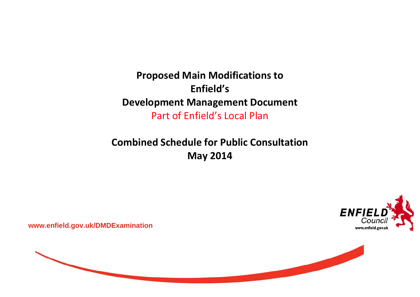**Proposed Main Modifications to Enfield'sDevelopment Management Document** Part of Enfield's Local Plan

**Combined Schedule for Public Consultation May 2014**



**www.enfield.gov.uk/DMDExamination** 

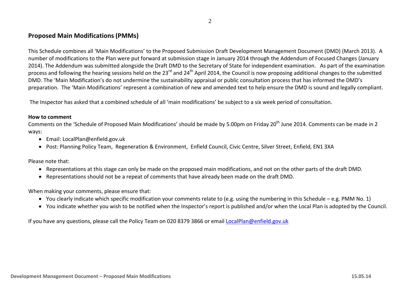## **Proposed Main Modifications (PMMs)**

This Schedule combines all 'Main Modifications' to the Proposed Submission Draft Development Management Document (DMD) (March 2013). A number of modifications to the Plan were put forward at submission stage in January 2014 through the Addendum of Focused Changes (January 2014). The Addendum was submitted alongside the Draft DMD to the Secretary of State for independent examination. As part of the examination process and following the hearing sessions held on the 23<sup>rd</sup> and 24<sup>th</sup> April 2014, the Council is now proposing additional changes to the submitted DMD. The 'Main Modification's do not undermine the sustainability appraisal or public consultation process that has informed the DMD's preparation. The 'Main Modifications' represent <sup>a</sup> combination of new and amended text to help ensure the DMD is sound and legally compliant.

The Inspector has asked that <sup>a</sup> combined schedule of all 'main modifications' be subject to <sup>a</sup> six week period of consultation.

## **How to comment**

Comments on the 'Schedule of Proposed Main Modifications' should be made by 5.00pm on Friday 20<sup>th</sup> June 2014. Comments can be made in 2 ways:

- Email: LocalPlan@enfield.gov.uk
- Post: Planning Policy Team, Regeneration & Environment, Enfield Council, Civic Centre, Silver Street, Enfield, EN1 3XA

Please note that:

- Representations at this stage can only be made on the proposed main modifications, and not on the other parts of the draft DMD.
- Representations should not be a repeat of comments that have already been made on the draft DMD.

When making your comments, please ensure that:

- You clearly indicate which specific modification your comments relate to (e.g. using the numbering in this Schedule e.g. PMM No. 1)
- You indicate whether you wish to be notified when the Inspector's report is published and/or when the Local Plan is adopted by the Council.

If you have any questions, please call the Policy Team on 020 8379 3866 or email <u>LocalPlan@enfield.gov.uk</u>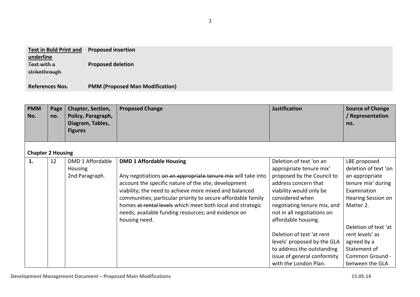| <b>Text in Bold Print and</b> | <b>Proposed insertion</b> |
|-------------------------------|---------------------------|
| underline                     |                           |
| Text with a                   | <b>Proposed deletion</b>  |

strikethrough

**References Nos. PMM(Proposed Man Modification)**

| <b>PMM</b><br>No.        | Page<br>no. | Chapter, Section,<br>Policy, Paragraph,<br>Diagram, Tables,<br><b>Figures</b> | <b>Proposed Change</b>                                                                                                                                                                                                                                                                                                                                                                                                  | <b>Justification</b>                                                                                                                                                                                                                       | <b>Source of Change</b><br>/ Representation<br>no.                                                                                    |
|--------------------------|-------------|-------------------------------------------------------------------------------|-------------------------------------------------------------------------------------------------------------------------------------------------------------------------------------------------------------------------------------------------------------------------------------------------------------------------------------------------------------------------------------------------------------------------|--------------------------------------------------------------------------------------------------------------------------------------------------------------------------------------------------------------------------------------------|---------------------------------------------------------------------------------------------------------------------------------------|
| <b>Chapter 2 Housing</b> |             |                                                                               |                                                                                                                                                                                                                                                                                                                                                                                                                         |                                                                                                                                                                                                                                            |                                                                                                                                       |
| 1.                       | 12          | DMD 1 Affordable<br><b>Housing</b><br>2nd Paragraph.                          | <b>DMD 1 Affordable Housing</b><br>Any negotiations on an appropriate tenure mix will take into<br>account the specific nature of the site; development<br>viability; the need to achieve more mixed and balanced<br>communities; particular priority to secure affordable family<br>homes at rental levels which meet both local and strategic<br>needs; available funding resources; and evidence on<br>housing need. | Deletion of text 'on an<br>appropriate tenure mix'<br>proposed by the Council to<br>address concern that<br>viability would only be<br>considered when<br>negotiating tenure mix, and<br>not in all negotiations on<br>affordable housing. | LBE proposed<br>deletion of text 'on<br>an appropriate<br>tenure mix' during<br>Examination<br><b>Hearing Session on</b><br>Matter 2. |
|                          |             |                                                                               |                                                                                                                                                                                                                                                                                                                                                                                                                         | Deletion of text 'at rent<br>levels' proposed by the GLA<br>to address the outstanding<br>issue of general conformity<br>with the London Plan.                                                                                             | Deletion of text 'at<br>rent levels' as<br>agreed by a<br>Statement of<br>Common Ground -<br>between the GLA                          |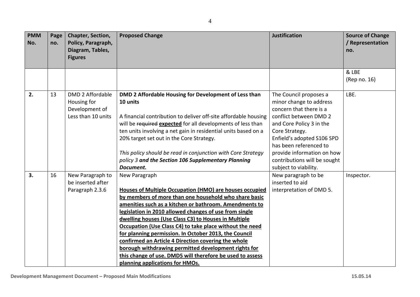| <b>PMM</b><br>No. | Page<br>no. | Chapter, Section,<br>Policy, Paragraph,<br>Diagram, Tables,<br><b>Figures</b>  | <b>Proposed Change</b>                                                                                                                                                                                                                                                                                                                                                                                                                                                                                                                                                                                                                            | <b>Justification</b>                                                                                                                                                                                                                       | <b>Source of Change</b><br>/ Representation<br>no. |
|-------------------|-------------|--------------------------------------------------------------------------------|---------------------------------------------------------------------------------------------------------------------------------------------------------------------------------------------------------------------------------------------------------------------------------------------------------------------------------------------------------------------------------------------------------------------------------------------------------------------------------------------------------------------------------------------------------------------------------------------------------------------------------------------------|--------------------------------------------------------------------------------------------------------------------------------------------------------------------------------------------------------------------------------------------|----------------------------------------------------|
|                   |             |                                                                                |                                                                                                                                                                                                                                                                                                                                                                                                                                                                                                                                                                                                                                                   |                                                                                                                                                                                                                                            |                                                    |
|                   |             |                                                                                |                                                                                                                                                                                                                                                                                                                                                                                                                                                                                                                                                                                                                                                   |                                                                                                                                                                                                                                            | & LBE                                              |
|                   |             |                                                                                |                                                                                                                                                                                                                                                                                                                                                                                                                                                                                                                                                                                                                                                   |                                                                                                                                                                                                                                            | (Rep no. 16)                                       |
| 2.                | 13          | <b>DMD 2 Affordable</b><br>Housing for<br>Development of<br>Less than 10 units | DMD 2 Affordable Housing for Development of Less than<br>10 units<br>A financial contribution to deliver off-site affordable housing<br>will be required expected for all developments of less than<br>ten units involving a net gain in residential units based on a<br>20% target set out in the Core Strategy.<br>This policy should be read in conjunction with Core Strategy                                                                                                                                                                                                                                                                 | The Council proposes a<br>minor change to address<br>concern that there is a<br>conflict between DMD 2<br>and Core Policy 3 in the<br>Core Strategy.<br>Enfield's adopted S106 SPD<br>has been referenced to<br>provide information on how | LBE.                                               |
|                   |             |                                                                                | policy 3 and the Section 106 Supplementary Planning<br>Document.                                                                                                                                                                                                                                                                                                                                                                                                                                                                                                                                                                                  | contributions will be sought<br>subject to viability.                                                                                                                                                                                      |                                                    |
| 3.                | 16          | New Paragraph to<br>be inserted after<br>Paragraph 2.3.6                       | New Paragraph<br>Houses of Multiple Occupation (HMO) are houses occupied<br>by members of more than one household who share basic<br>amenities such as a kitchen or bathroom. Amendments to<br>legislation in 2010 allowed changes of use from single<br>dwelling houses (Use Class C3) to Houses in Multiple<br>Occupation (Use Class C4) to take place without the need<br>for planning permission. In October 2013, the Council<br>confirmed an Article 4 Direction covering the whole<br>borough withdrawing permitted development rights for<br>this change of use. DMD5 will therefore be used to assess<br>planning applications for HMOs. | New paragraph to be<br>inserted to aid<br>interpretation of DMD 5.                                                                                                                                                                         | Inspector.                                         |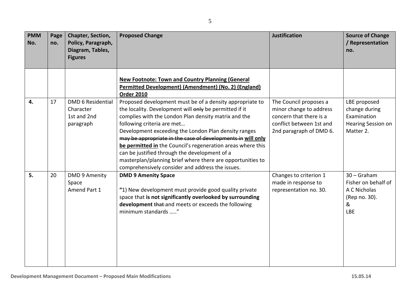| e<br>۰.<br>×<br>٠ |  |
|-------------------|--|

| <b>PMM</b><br>No. | Page<br>no. | Chapter, Section,<br>Policy, Paragraph,<br>Diagram, Tables,<br><b>Figures</b> | <b>Proposed Change</b>                                                                                                                                                                                                                                                                                                                                                                                                                                                                                                                                            | <b>Justification</b>                                                                                                                | <b>Source of Change</b><br>/ Representation<br>no.                                       |
|-------------------|-------------|-------------------------------------------------------------------------------|-------------------------------------------------------------------------------------------------------------------------------------------------------------------------------------------------------------------------------------------------------------------------------------------------------------------------------------------------------------------------------------------------------------------------------------------------------------------------------------------------------------------------------------------------------------------|-------------------------------------------------------------------------------------------------------------------------------------|------------------------------------------------------------------------------------------|
|                   |             |                                                                               | <b>New Footnote: Town and Country Planning (General</b><br>Permitted Development) (Amendment) (No. 2) (England)<br><b>Order 2010</b>                                                                                                                                                                                                                                                                                                                                                                                                                              |                                                                                                                                     |                                                                                          |
| 4.                | 17          | <b>DMD 6 Residential</b><br>Character<br>1st and 2nd<br>paragraph             | Proposed development must be of a density appropriate to<br>the locality. Development will only be permitted if it<br>complies with the London Plan density matrix and the<br>following criteria are met<br>Development exceeding the London Plan density ranges<br>may be appropriate in the case of developments in will only<br>be permitted in the Council's regeneration areas where this<br>can be justified through the development of a<br>masterplan/planning brief where there are opportunities to<br>comprehensively consider and address the issues. | The Council proposes a<br>minor change to address<br>concern that there is a<br>conflict between 1st and<br>2nd paragraph of DMD 6. | LBE proposed<br>change during<br>Examination<br><b>Hearing Session on</b><br>Matter 2.   |
| 5.                | 20          | <b>DMD 9 Amenity</b><br>Space<br>Amend Part 1                                 | <b>DMD 9 Amenity Space</b><br>"1) New development must provide good quality private<br>space that is not significantly overlooked by surrounding<br>development that and meets or exceeds the following<br>minimum standards "                                                                                                                                                                                                                                                                                                                                    | Changes to criterion 1<br>made in response to<br>representation no. 30.                                                             | $30 -$ Graham<br>Fisher on behalf of<br>A C Nicholas<br>(Rep no. 30).<br>&<br><b>LBE</b> |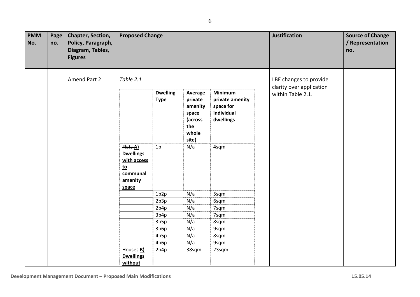| <b>PMM</b><br>No. | Page<br>no. | Chapter, Section,<br>Policy, Paragraph,<br>Diagram, Tables,<br><b>Figures</b> | <b>Proposed Change</b>                                                              |                                |                                                                            |                                                                           | <b>Justification</b>                          | <b>Source of Change</b><br>/ Representation<br>no. |
|-------------------|-------------|-------------------------------------------------------------------------------|-------------------------------------------------------------------------------------|--------------------------------|----------------------------------------------------------------------------|---------------------------------------------------------------------------|-----------------------------------------------|----------------------------------------------------|
|                   |             | Amend Part 2                                                                  | Table 2.1                                                                           |                                |                                                                            |                                                                           | LBE changes to provide                        |                                                    |
|                   |             |                                                                               |                                                                                     | <b>Dwelling</b><br><b>Type</b> | Average<br>private<br>amenity<br>space<br>(across<br>the<br>whole<br>site) | <b>Minimum</b><br>private amenity<br>space for<br>individual<br>dwellings | clarity over application<br>within Table 2.1. |                                                    |
|                   |             |                                                                               | Flats A)<br><b>Dwellings</b><br>with access<br>$to$<br>communal<br>amenity<br>space | 1p                             | N/a                                                                        | 4sqm                                                                      |                                               |                                                    |
|                   |             |                                                                               |                                                                                     | 1b2p                           | N/a                                                                        | 5sqm                                                                      |                                               |                                                    |
|                   |             |                                                                               |                                                                                     | 2b3p                           | N/a                                                                        | 6sqm                                                                      |                                               |                                                    |
|                   |             |                                                                               |                                                                                     | 2b4p                           | N/a                                                                        | 7sqm                                                                      |                                               |                                                    |
|                   |             |                                                                               |                                                                                     | 3b4p                           | N/a                                                                        | 7sqm                                                                      |                                               |                                                    |
|                   |             |                                                                               |                                                                                     | 3b5p                           | N/a                                                                        | 8sqm                                                                      |                                               |                                                    |
|                   |             |                                                                               |                                                                                     | 3b6p                           | N/a                                                                        | 9sqm                                                                      |                                               |                                                    |
|                   |             |                                                                               |                                                                                     | 4b5p                           | N/a                                                                        | 8sqm                                                                      |                                               |                                                    |
|                   |             |                                                                               |                                                                                     | 4b6p                           | N/a                                                                        | 9sqm                                                                      |                                               |                                                    |
|                   |             |                                                                               | Houses-B)<br><b>Dwellings</b><br>without                                            | 2b4p                           | 38sqm                                                                      | 23sqm                                                                     |                                               |                                                    |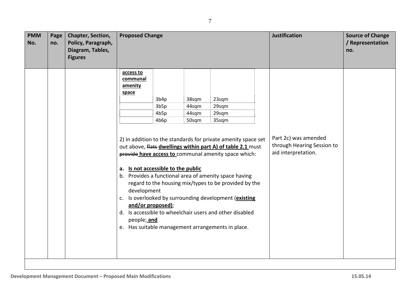| <b>PMM</b><br>No. | Page<br>no. | Chapter, Section,<br>Policy, Paragraph,<br>Diagram, Tables,<br><b>Figures</b> | <b>Proposed Change</b>                                                                                        |                                                   |                                  |                                                                                                                                                                                                                                                                                                                                                                                                                                                                | <b>Justification</b> | <b>Source of Change</b><br>/ Representation<br>no.                        |  |
|-------------------|-------------|-------------------------------------------------------------------------------|---------------------------------------------------------------------------------------------------------------|---------------------------------------------------|----------------------------------|----------------------------------------------------------------------------------------------------------------------------------------------------------------------------------------------------------------------------------------------------------------------------------------------------------------------------------------------------------------------------------------------------------------------------------------------------------------|----------------------|---------------------------------------------------------------------------|--|
|                   |             |                                                                               | access to<br>communal<br>amenity<br>space<br>a. Is not accessible to the public<br>development<br>people; and | 3b4p<br>3b5p<br>4b5p<br>4b6p<br>and/or proposed); | 38sqm<br>44sqm<br>44sqm<br>50sqm | 23sqm<br>29sqm<br>29sqm<br>35sqm<br>2) In addition to the standards for private amenity space set<br>out above, flats dwellings within part A) of table 2.1 must<br>provide have access to communal amenity space which:<br>b. Provides a functional area of amenity space having<br>regard to the housing mix/types to be provided by the<br>c. Is overlooked by surrounding development (existing<br>d. Is accessible to wheelchair users and other disabled |                      | Part 2c) was amended<br>through Hearing Session to<br>aid interpretation. |  |
|                   |             |                                                                               |                                                                                                               |                                                   |                                  | e. Has suitable management arrangements in place.                                                                                                                                                                                                                                                                                                                                                                                                              |                      |                                                                           |  |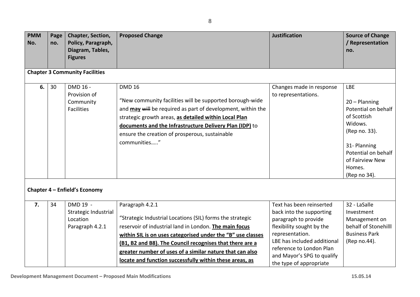| <b>PMM</b><br>No. | Page<br>no. | Chapter, Section,<br>Policy, Paragraph,<br>Diagram, Tables,<br><b>Figures</b>                    | <b>Proposed Change</b>                                                                                                                                                                                                                                                                                                                                                                   | <b>Justification</b>                                                                                                                                                                                                                             | <b>Source of Change</b><br>/ Representation<br>no.                                                                                                                                  |
|-------------------|-------------|--------------------------------------------------------------------------------------------------|------------------------------------------------------------------------------------------------------------------------------------------------------------------------------------------------------------------------------------------------------------------------------------------------------------------------------------------------------------------------------------------|--------------------------------------------------------------------------------------------------------------------------------------------------------------------------------------------------------------------------------------------------|-------------------------------------------------------------------------------------------------------------------------------------------------------------------------------------|
|                   |             | <b>Chapter 3 Community Facilities</b>                                                            |                                                                                                                                                                                                                                                                                                                                                                                          |                                                                                                                                                                                                                                                  |                                                                                                                                                                                     |
| 6.                | 30          | DMD 16 -<br>Provision of<br>Community<br><b>Facilities</b>                                       | <b>DMD 16</b><br>"New community facilities will be supported borough-wide<br>and may will be required as part of development, within the<br>strategic growth areas, as detailed within Local Plan<br>documents and the Infrastructure Delivery Plan (IDP) to<br>ensure the creation of prosperous, sustainable<br>communities"                                                           | Changes made in response<br>to representations.                                                                                                                                                                                                  | <b>LBE</b><br>$20 -$ Planning<br>Potential on behalf<br>of Scottish<br>Widows.<br>(Rep no. 33).<br>31- Planning<br>Potential on behalf<br>of Fairview New<br>Homes.<br>(Rep no 34). |
| 7.                | 34          | Chapter 4 - Enfield's Economy<br>DMD 19 -<br>Strategic Industrial<br>Location<br>Paragraph 4.2.1 | Paragraph 4.2.1<br>"Strategic Industrial Locations (SIL) forms the strategic<br>reservoir of industrial land in London. The main focus<br>within SIL is on uses categorised under the "B" use classes<br>(B1, B2 and B8). The Council recognises that there are a<br>greater number of uses of a similar nature that can also<br>locate and function successfully within these areas, as | Text has been reinserted<br>back into the supporting<br>paragraph to provide<br>flexibility sought by the<br>representation.<br>LBE has included additional<br>reference to London Plan<br>and Mayor's SPG to qualify<br>the type of appropriate | 32 - LaSalle<br>Investment<br>Management on<br>behalf of Stonehilll<br><b>Business Park</b><br>(Rep no.44).                                                                         |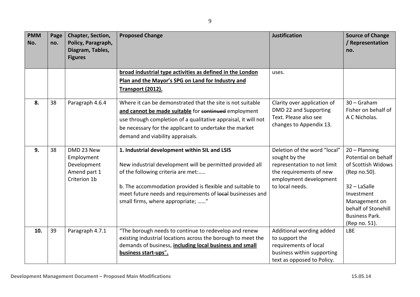| <b>PMM</b><br>No. | Page<br>no. | Chapter, Section,<br>Policy, Paragraph,<br>Diagram, Tables,<br><b>Figures</b> | <b>Proposed Change</b>                                                                                                                                                                                                                                                                                           | <b>Justification</b>                                                                                                                                 | <b>Source of Change</b><br>/ Representation<br>no.                                                                                                                                             |
|-------------------|-------------|-------------------------------------------------------------------------------|------------------------------------------------------------------------------------------------------------------------------------------------------------------------------------------------------------------------------------------------------------------------------------------------------------------|------------------------------------------------------------------------------------------------------------------------------------------------------|------------------------------------------------------------------------------------------------------------------------------------------------------------------------------------------------|
|                   |             |                                                                               | broad industrial type activities as defined in the London<br>Plan and the Mayor's SPG on Land for Industry and<br><b>Transport (2012).</b>                                                                                                                                                                       | uses.                                                                                                                                                |                                                                                                                                                                                                |
| 8.                | 38          | Paragraph 4.6.4                                                               | Where it can be demonstrated that the site is not suitable<br>and cannot be made suitable for continued employment<br>use through completion of a qualitative appraisal, it will not<br>be necessary for the applicant to undertake the market<br>demand and viability appraisals.                               | Clarity over application of<br>DMD 22 and Supporting<br>Text. Please also see<br>changes to Appendix 13.                                             | $30 -$ Graham<br>Fisher on behalf of<br>A C Nicholas.                                                                                                                                          |
| 9.                | 38          | DMD 23 New<br>Employment<br>Development<br>Amend part 1<br>Criterion 1b       | 1. Industrial development within SIL and LSIS<br>New industrial development will be permitted provided all<br>of the following criteria are met:<br>b. The accommodation provided is flexible and suitable to<br>meet future needs and requirements of local businesses and<br>small firms, where appropriate; " | Deletion of the word "local"<br>sought by the<br>representation to not limit<br>the requirements of new<br>employment development<br>to local needs. | $20 -$ Planning<br>Potential on behalf<br>of Scottish Widows<br>(Rep no.50).<br>$32 -$ LaSalle<br>Investment<br>Management on<br>behalf of Stonehill<br><b>Business Park.</b><br>(Rep no. 51). |
| 10.               | 39          | Paragraph 4.7.1                                                               | "The borough needs to continue to redevelop and renew<br>existing industrial locations across the borough to meet the<br>demands of business, including local business and small<br>business start-ups".                                                                                                         | Additional wording added<br>to support the<br>requirements of local<br>business within supporting<br>text as opposed to Policy.                      | <b>LBE</b>                                                                                                                                                                                     |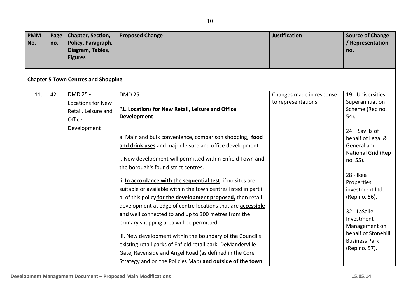| <b>PMM</b><br>No. | Page<br>no. | Chapter, Section,<br>Policy, Paragraph,<br>Diagram, Tables,<br><b>Figures</b>        | <b>Proposed Change</b>                                                                                                                                                                                                                                                                                                                                                                                                                                                                                                                                    | <b>Justification</b>                            | <b>Source of Change</b><br>/ Representation<br>no.                                                                                                                                 |
|-------------------|-------------|--------------------------------------------------------------------------------------|-----------------------------------------------------------------------------------------------------------------------------------------------------------------------------------------------------------------------------------------------------------------------------------------------------------------------------------------------------------------------------------------------------------------------------------------------------------------------------------------------------------------------------------------------------------|-------------------------------------------------|------------------------------------------------------------------------------------------------------------------------------------------------------------------------------------|
|                   |             | <b>Chapter 5 Town Centres and Shopping</b>                                           |                                                                                                                                                                                                                                                                                                                                                                                                                                                                                                                                                           |                                                 |                                                                                                                                                                                    |
| 11.               | 42          | DMD 25 -<br><b>Locations for New</b><br>Retail, Leisure and<br>Office<br>Development | <b>DMD 25</b><br>"1. Locations for New Retail, Leisure and Office<br><b>Development</b><br>a. Main and bulk convenience, comparison shopping, food<br>and drink uses and major leisure and office development<br>i. New development will permitted within Enfield Town and<br>the borough's four district centres.<br>ii. In accordance with the sequential test if no sites are                                                                                                                                                                          | Changes made in response<br>to representations. | 19 - Universities<br>Superannuation<br>Scheme (Rep no.<br>54).<br>24 - Savills of<br>behalf of Legal &<br>General and<br>National Grid (Rep<br>no. 55).<br>28 - Ikea<br>Properties |
|                   |             |                                                                                      | suitable or available within the town centres listed in part i<br>a. of this policy for the development proposed, then retail<br>development at edge of centre locations that are <b>accessible</b><br>and well connected to and up to 300 metres from the<br>primary shopping area will be permitted.<br>iii. New development within the boundary of the Council's<br>existing retail parks of Enfield retail park, DeManderville<br>Gate, Ravenside and Angel Road (as defined in the Core<br>Strategy and on the Policies Map) and outside of the town |                                                 | investment Ltd.<br>(Rep no. 56).<br>32 - LaSalle<br>Investment<br>Management on<br>behalf of Stonehilll<br><b>Business Park</b><br>(Rep no. 57).                                   |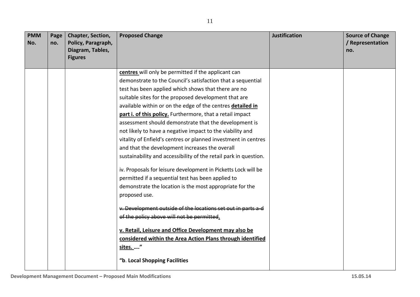| <b>PMM</b><br>No. | Page<br>no. | Chapter, Section,<br>Policy, Paragraph,<br>Diagram, Tables,<br><b>Figures</b> | <b>Proposed Change</b>                                           | <b>Justification</b> | <b>Source of Change</b><br>/ Representation<br>no. |
|-------------------|-------------|-------------------------------------------------------------------------------|------------------------------------------------------------------|----------------------|----------------------------------------------------|
|                   |             |                                                                               | centres will only be permitted if the applicant can              |                      |                                                    |
|                   |             |                                                                               | demonstrate to the Council's satisfaction that a sequential      |                      |                                                    |
|                   |             |                                                                               | test has been applied which shows that there are no              |                      |                                                    |
|                   |             |                                                                               | suitable sites for the proposed development that are             |                      |                                                    |
|                   |             |                                                                               | available within or on the edge of the centres detailed in       |                      |                                                    |
|                   |             |                                                                               | part i. of this policy. Furthermore, that a retail impact        |                      |                                                    |
|                   |             |                                                                               | assessment should demonstrate that the development is            |                      |                                                    |
|                   |             |                                                                               | not likely to have a negative impact to the viability and        |                      |                                                    |
|                   |             |                                                                               | vitality of Enfield's centres or planned investment in centres   |                      |                                                    |
|                   |             |                                                                               | and that the development increases the overall                   |                      |                                                    |
|                   |             |                                                                               | sustainability and accessibility of the retail park in question. |                      |                                                    |
|                   |             |                                                                               | iv. Proposals for leisure development in Picketts Lock will be   |                      |                                                    |
|                   |             |                                                                               | permitted if a sequential test has been applied to               |                      |                                                    |
|                   |             |                                                                               | demonstrate the location is the most appropriate for the         |                      |                                                    |
|                   |             |                                                                               | proposed use.                                                    |                      |                                                    |
|                   |             |                                                                               | v. Development outside of the locations set out in parts a d     |                      |                                                    |
|                   |             |                                                                               | of the policy above will not be permitted.                       |                      |                                                    |
|                   |             |                                                                               | v. Retail, Leisure and Office Development may also be            |                      |                                                    |
|                   |             |                                                                               | considered within the Area Action Plans through identified       |                      |                                                    |
|                   |             |                                                                               | sites. "                                                         |                      |                                                    |
|                   |             |                                                                               | "b. Local Shopping Facilities                                    |                      |                                                    |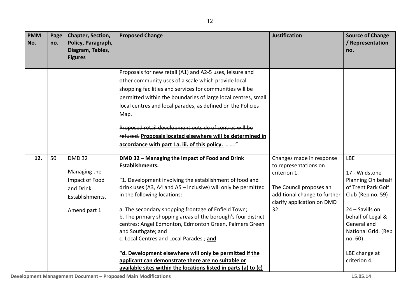| <b>PMM</b><br>No. | Page<br>no. | Chapter, Section,<br>Policy, Paragraph,<br>Diagram, Tables,<br><b>Figures</b>                   | <b>Proposed Change</b>                                                                                                                                                                                                                                                                                                                                                                                                                                                                                                                                                                                                                                              | <b>Justification</b>                                                                                                                                              | <b>Source of Change</b><br>/ Representation<br>no.                                                                                                                                                                       |
|-------------------|-------------|-------------------------------------------------------------------------------------------------|---------------------------------------------------------------------------------------------------------------------------------------------------------------------------------------------------------------------------------------------------------------------------------------------------------------------------------------------------------------------------------------------------------------------------------------------------------------------------------------------------------------------------------------------------------------------------------------------------------------------------------------------------------------------|-------------------------------------------------------------------------------------------------------------------------------------------------------------------|--------------------------------------------------------------------------------------------------------------------------------------------------------------------------------------------------------------------------|
|                   |             |                                                                                                 | Proposals for new retail (A1) and A2-5 uses, leisure and<br>other community uses of a scale which provide local<br>shopping facilities and services for communities will be<br>permitted within the boundaries of large local centres, small<br>local centres and local parades, as defined on the Policies<br>Map.<br>Proposed retail development outside of centres will be<br>refused. Proposals located elsewhere will be determined in<br>accordance with part 1a. iii. of this policy. "                                                                                                                                                                      |                                                                                                                                                                   |                                                                                                                                                                                                                          |
| 12.               | 50          | <b>DMD 32</b><br>Managing the<br>Impact of Food<br>and Drink<br>Establishments.<br>Amend part 1 | DMD 32 - Managing the Impact of Food and Drink<br>Establishments.<br>"1. Development involving the establishment of food and<br>drink uses (A3, A4 and A5 - inclusive) will only be permitted<br>in the following locations:<br>a. The secondary shopping frontage of Enfield Town;<br>b. The primary shopping areas of the borough's four district<br>centres: Angel Edmonton, Edmonton Green, Palmers Green<br>and Southgate; and<br>c. Local Centres and Local Parades.; and<br>"d. Development elsewhere will only be permitted if the<br>applicant can demonstrate there are no suitable or<br>available sites within the locations listed in parts (a) to (c) | Changes made in response<br>to representations on<br>criterion 1.<br>The Council proposes an<br>additional change to further<br>clarify application on DMD<br>32. | <b>LBE</b><br>17 - Wildstone<br>Planning On behalf<br>of Trent Park Golf<br>Club (Rep no. 59)<br>24 - Savills on<br>behalf of Legal &<br>General and<br>National Grid. (Rep<br>no. 60).<br>LBE change at<br>criterion 4. |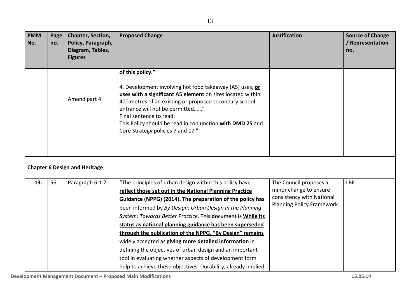| <b>PMM</b><br>No. | Page<br>no. | Chapter, Section,<br>Policy, Paragraph,<br>Diagram, Tables,<br><b>Figures</b> | <b>Proposed Change</b>                                                                                                                                                                                                                                                                                                                                                                                                                                                                                                                                                                                                                                                              | <b>Justification</b>                                                                                        | <b>Source of Change</b><br>/ Representation<br>no. |
|-------------------|-------------|-------------------------------------------------------------------------------|-------------------------------------------------------------------------------------------------------------------------------------------------------------------------------------------------------------------------------------------------------------------------------------------------------------------------------------------------------------------------------------------------------------------------------------------------------------------------------------------------------------------------------------------------------------------------------------------------------------------------------------------------------------------------------------|-------------------------------------------------------------------------------------------------------------|----------------------------------------------------|
|                   |             | Amend part 4                                                                  | of this policy."<br>4. Development involving hot food takeaway (A5) uses, or<br>uses with a significant A5 element on sites located within<br>400 metres of an existing or proposed secondary school<br>entrance will not be permitted"<br>Final sentence to read:<br>This Policy should be read in conjunction with DMD 25 and<br>Core Strategy policies 7 and 17."                                                                                                                                                                                                                                                                                                                |                                                                                                             |                                                    |
|                   |             | <b>Chapter 6 Design and Heritage</b>                                          |                                                                                                                                                                                                                                                                                                                                                                                                                                                                                                                                                                                                                                                                                     |                                                                                                             |                                                    |
| 13.               | 56          | Paragraph 6.1.2                                                               | "The principles of urban design within this policy have<br>reflect those set out in the National Planning Practice<br>Guidance (NPPG) (2014). The preparation of the policy has<br>been informed by By Design: Urban Design in the Planning<br>System: Towards Better Practice. This document is While its<br>status as national planning guidance has been superseded<br>through the publication of the NPPG, "By Design" remains<br>widely accepted as giving more detailed information in<br>defining the objectives of urban design and an important<br>tool in evaluating whether aspects of development form<br>help to achieve these objectives. Durability, already implied | The Council proposes a<br>minor change to ensure<br>consistency with National<br>Planning Policy Framework. | <b>LBE</b>                                         |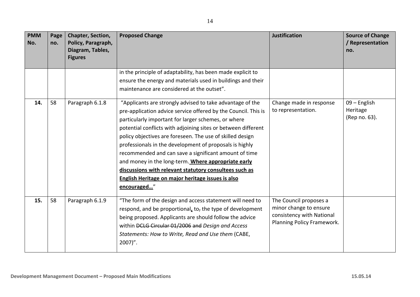| <b>PMM</b><br>No. | Page<br>no. | Chapter, Section,<br>Policy, Paragraph,<br>Diagram, Tables,<br><b>Figures</b> | <b>Proposed Change</b>                                                                                                                                                                                                                                                                                                                                                                                                                                                                                                                                                                                                    | <b>Justification</b>                                                                                        | <b>Source of Change</b><br>/ Representation<br>no. |
|-------------------|-------------|-------------------------------------------------------------------------------|---------------------------------------------------------------------------------------------------------------------------------------------------------------------------------------------------------------------------------------------------------------------------------------------------------------------------------------------------------------------------------------------------------------------------------------------------------------------------------------------------------------------------------------------------------------------------------------------------------------------------|-------------------------------------------------------------------------------------------------------------|----------------------------------------------------|
|                   |             |                                                                               | in the principle of adaptability, has been made explicit to<br>ensure the energy and materials used in buildings and their<br>maintenance are considered at the outset".                                                                                                                                                                                                                                                                                                                                                                                                                                                  |                                                                                                             |                                                    |
| 14.               | 58          | Paragraph 6.1.8                                                               | "Applicants are strongly advised to take advantage of the<br>pre-application advice service offered by the Council. This is<br>particularly important for larger schemes, or where<br>potential conflicts with adjoining sites or between different<br>policy objectives are foreseen. The use of skilled design<br>professionals in the development of proposals is highly<br>recommended and can save a significant amount of time<br>and money in the long-term. Where appropriate early<br>discussions with relevant statutory consultees such as<br>English Heritage on major heritage issues is also<br>encouraged" | Change made in response<br>to representation.                                                               | 09 - English<br>Heritage<br>(Rep no. 63).          |
| 15.               | 58          | Paragraph 6.1.9                                                               | "The form of the design and access statement will need to<br>respond, and be proportional, to, the type of development<br>being proposed. Applicants are should follow the advice<br>within DCLG Circular 01/2006 and Design and Access<br>Statements: How to Write, Read and Use them (CABE,<br>$2007$ ".                                                                                                                                                                                                                                                                                                                | The Council proposes a<br>minor change to ensure<br>consistency with National<br>Planning Policy Framework. |                                                    |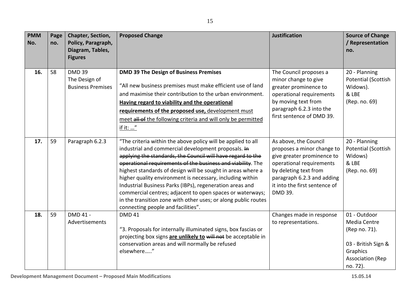| <b>PMM</b><br>No. | Page<br>no. | Chapter, Section,<br>Policy, Paragraph,<br>Diagram, Tables,<br><b>Figures</b> | <b>Proposed Change</b>                                                                                                                                                                                                                                                                                                                                                                                                                                                                                                                                                                                         | <b>Justification</b>                                                                                                                                                                                             | <b>Source of Change</b><br>/ Representation<br>no.                                                                      |
|-------------------|-------------|-------------------------------------------------------------------------------|----------------------------------------------------------------------------------------------------------------------------------------------------------------------------------------------------------------------------------------------------------------------------------------------------------------------------------------------------------------------------------------------------------------------------------------------------------------------------------------------------------------------------------------------------------------------------------------------------------------|------------------------------------------------------------------------------------------------------------------------------------------------------------------------------------------------------------------|-------------------------------------------------------------------------------------------------------------------------|
| 16.               | 58          | <b>DMD 39</b><br>The Design of<br><b>Business Premises</b>                    | <b>DMD 39 The Design of Business Premises</b><br>"All new business premises must make efficient use of land<br>and maximise their contribution to the urban environment.<br>Having regard to viability and the operational<br>requirements of the proposed use, development must<br>meet all of the following criteria and will only be permitted<br>if it: "                                                                                                                                                                                                                                                  | The Council proposes a<br>minor change to give<br>greater prominence to<br>operational requirements<br>by moving text from<br>paragraph 6.2.3 into the<br>first sentence of DMD 39.                              | 20 - Planning<br><b>Potential (Scottish</b><br>Widows).<br>& LBE<br>(Rep. no. 69)                                       |
| 17.               | 59          | Paragraph 6.2.3                                                               | "The criteria within the above policy will be applied to all<br>industrial and commercial development proposals. In<br>applying the standards, the Council will have regard to the<br>operational requirements of the business and viability. The<br>highest standards of design will be sought in areas where a<br>higher quality environment is necessary, including within<br>Industrial Business Parks (IBPs), regeneration areas and<br>commercial centres; adjacent to open spaces or waterways;<br>in the transition zone with other uses; or along public routes<br>connecting people and facilities". | As above, the Council<br>proposes a minor change to<br>give greater prominence to<br>operational requirements<br>by deleting text from<br>paragraph 6.2.3 and adding<br>it into the first sentence of<br>DMD 39. | 20 - Planning<br>Potential (Scottish<br>Widows)<br>& LBE<br>(Rep. no. 69)                                               |
| 18.               | 59          | DMD 41 -<br>Advertisements                                                    | <b>DMD 41</b><br>"3. Proposals for internally illuminated signs, box fascias or<br>projecting box signs are unlikely to will not be acceptable in<br>conservation areas and will normally be refused<br>elsewhere"                                                                                                                                                                                                                                                                                                                                                                                             | Changes made in response<br>to representations.                                                                                                                                                                  | 01 - Outdoor<br>Media Centre<br>(Rep no. 71).<br>03 - British Sign &<br>Graphics<br><b>Association (Rep</b><br>no. 72). |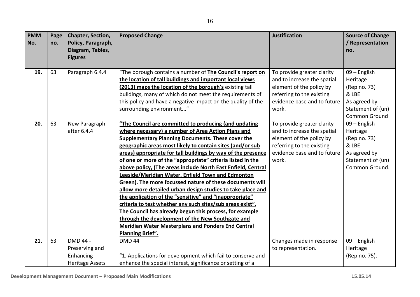| <b>PMM</b><br>No. | Page<br>no. | Chapter, Section,<br>Policy, Paragraph,<br>Diagram, Tables,       | <b>Proposed Change</b>                                                                                                                                                                                                                                                                                                                                                                                                                                                                                                                                                                                                                                                                                                                                                                                                                                                                                                                   | <b>Justification</b>                                                                                                                                       | <b>Source of Change</b><br>/ Representation<br>no.                                                       |
|-------------------|-------------|-------------------------------------------------------------------|------------------------------------------------------------------------------------------------------------------------------------------------------------------------------------------------------------------------------------------------------------------------------------------------------------------------------------------------------------------------------------------------------------------------------------------------------------------------------------------------------------------------------------------------------------------------------------------------------------------------------------------------------------------------------------------------------------------------------------------------------------------------------------------------------------------------------------------------------------------------------------------------------------------------------------------|------------------------------------------------------------------------------------------------------------------------------------------------------------|----------------------------------------------------------------------------------------------------------|
|                   |             | <b>Figures</b>                                                    |                                                                                                                                                                                                                                                                                                                                                                                                                                                                                                                                                                                                                                                                                                                                                                                                                                                                                                                                          |                                                                                                                                                            |                                                                                                          |
| 19.               | 63          | Paragraph 6.4.4                                                   | "The borough contains a number of The Council's report on<br>the location of tall buildings and important local views<br>(2013) maps the location of the borough's existing tall<br>buildings, many of which do not meet the requirements of<br>this policy and have a negative impact on the quality of the<br>surrounding environment"                                                                                                                                                                                                                                                                                                                                                                                                                                                                                                                                                                                                 | To provide greater clarity<br>and to increase the spatial<br>element of the policy by<br>referring to the existing<br>evidence base and to future<br>work. | 09 - English<br>Heritage<br>(Rep no. 73)<br>& LBE<br>As agreed by<br>Statement of (un)<br>Common Ground  |
| 20.               | 63          | New Paragraph<br>after 6.4.4                                      | "The Council are committed to producing (and updating<br>where necessary) a number of Area Action Plans and<br><b>Supplementary Planning Documents. These cover the</b><br>geographic areas most likely to contain sites (and/or sub<br>areas) appropriate for tall buildings by way of the presence<br>of one or more of the "appropriate" criteria listed in the<br>above policy, (The areas include North East Enfield, Central<br>Leeside/Meridian Water, Enfield Town and Edmonton<br>Green). The more focussed nature of these documents will<br>allow more detailed urban design studies to take place and<br>the application of the "sensitive" and "inappropriate"<br>criteria to test whether any such sites/sub areas exist".<br>The Council has already begun this process, for example<br>through the development of the New Southgate and<br><b>Meridian Water Masterplans and Ponders End Central</b><br>Planning Brief". | To provide greater clarity<br>and to increase the spatial<br>element of the policy by<br>referring to the existing<br>evidence base and to future<br>work. | 09 - English<br>Heritage<br>(Rep no. 73)<br>& LBE<br>As agreed by<br>Statement of (un)<br>Common Ground. |
| 21.               | 63          | DMD 44 -<br>Preserving and<br>Enhancing<br><b>Heritage Assets</b> | <b>DMD 44</b><br>"1. Applications for development which fail to conserve and<br>enhance the special interest, significance or setting of a                                                                                                                                                                                                                                                                                                                                                                                                                                                                                                                                                                                                                                                                                                                                                                                               | Changes made in response<br>to representation.                                                                                                             | 09 - English<br>Heritage<br>(Rep no. 75).                                                                |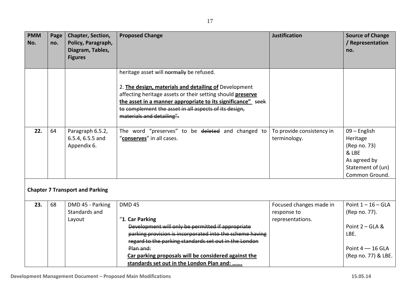| <b>PMM</b><br>No. | Page<br>no. | Chapter, Section,<br>Policy, Paragraph,<br>Diagram, Tables, | <b>Proposed Change</b>                                                                                                                                                                                                                                                                                                       | <b>Justification</b>                                       | <b>Source of Change</b><br>/ Representation<br>no.                                                              |
|-------------------|-------------|-------------------------------------------------------------|------------------------------------------------------------------------------------------------------------------------------------------------------------------------------------------------------------------------------------------------------------------------------------------------------------------------------|------------------------------------------------------------|-----------------------------------------------------------------------------------------------------------------|
|                   |             | <b>Figures</b>                                              |                                                                                                                                                                                                                                                                                                                              |                                                            |                                                                                                                 |
|                   |             |                                                             | heritage asset will normally be refused.                                                                                                                                                                                                                                                                                     |                                                            |                                                                                                                 |
|                   |             |                                                             | 2. The design, materials and detailing of Development<br>affecting heritage assets or their setting should preserve<br>the asset in a manner appropriate to its significance" seek<br>to complement the asset in all aspects of its design,<br>materials and detailing".                                                     |                                                            |                                                                                                                 |
| 22.               | 64          | Paragraph 6.5.2,<br>6.5.4, 6.5.5 and<br>Appendix 6.         | The word "preserves" to be deleted and changed to<br>"conserves" in all cases.                                                                                                                                                                                                                                               | To provide consistency in<br>terminology.                  | 09 - English<br>Heritage<br>(Rep no. 73)<br>& LBE<br>As agreed by<br>Statement of (un)<br>Common Ground.        |
|                   |             | <b>Chapter 7 Transport and Parking</b>                      |                                                                                                                                                                                                                                                                                                                              |                                                            |                                                                                                                 |
| 23.               | 68          | DMD 45 - Parking<br>Standards and<br>Layout                 | <b>DMD 45</b><br>"1. Car Parking<br>Development will only be permitted if appropriate<br>parking provision is incorporated into the scheme having<br>regard to the parking standards set out in the London<br>Plan and:<br>Car parking proposals will be considered against the<br>standards set out in the London Plan and: | Focused changes made in<br>response to<br>representations. | Point $1 - 16 - GLA$<br>(Rep no. 77).<br>Point $2 - GLA$ &<br>LBE.<br>Point $4 - 16$ GLA<br>(Rep no. 77) & LBE. |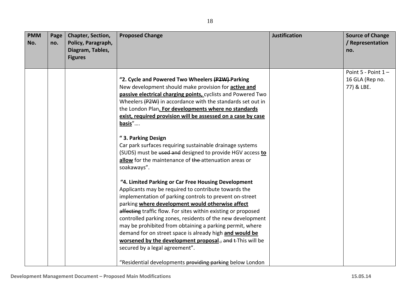| <b>PMM</b><br>No. | Page<br>no. | Chapter, Section,<br>Policy, Paragraph,<br>Diagram, Tables,<br><b>Figures</b> | <b>Proposed Change</b>                                                                                                                                                                                                                                                                                                                                                                                                                                                                                                                                                                                                                      | <b>Justification</b> | <b>Source of Change</b><br>/ Representation<br>no.       |
|-------------------|-------------|-------------------------------------------------------------------------------|---------------------------------------------------------------------------------------------------------------------------------------------------------------------------------------------------------------------------------------------------------------------------------------------------------------------------------------------------------------------------------------------------------------------------------------------------------------------------------------------------------------------------------------------------------------------------------------------------------------------------------------------|----------------------|----------------------------------------------------------|
|                   |             |                                                                               | "2. Cycle and Powered Two Wheelers (P2W)-Parking<br>New development should make provision for <b>active and</b><br>passive electrical charging points, cyclists and Powered Two<br>Wheelers (P2W) in accordance with the standards set out in<br>the London Plan. For developments where no standards<br>exist, required provision will be assessed on a case by case<br>basis"                                                                                                                                                                                                                                                             |                      | Point $5$ - Point $1 -$<br>16 GLA (Rep no.<br>77) & LBE. |
|                   |             |                                                                               | "3. Parking Design<br>Car park surfaces requiring sustainable drainage systems<br>(SUDS) must be used and designed to provide HGV access to<br>allow for the maintenance of the attenuation areas or<br>soakaways".                                                                                                                                                                                                                                                                                                                                                                                                                         |                      |                                                          |
|                   |             |                                                                               | "4. Limited Parking or Car Free Housing Development<br>Applicants may be required to contribute towards the<br>implementation of parking controls to prevent on-street<br>parking where development would otherwise affect<br>affecting traffic flow. For sites within existing or proposed<br>controlled parking zones, residents of the new development<br>may be prohibited from obtaining a parking permit, where<br>demand for on street space is already high and would be<br>worsened by the development proposal., and t-This will be<br>secured by a legal agreement".<br>"Residential developments providing parking below London |                      |                                                          |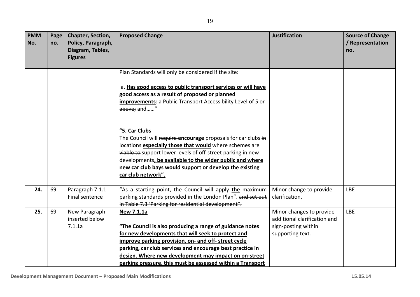| <b>PMM</b><br>No. | Page<br>no. | <b>Chapter, Section,</b><br>Policy, Paragraph,<br>Diagram, Tables,<br><b>Figures</b> | <b>Proposed Change</b>                                                                                                                                                                                                                                                                                                                                                   | <b>Justification</b>                                                                                | <b>Source of Change</b><br>/ Representation<br>no. |
|-------------------|-------------|--------------------------------------------------------------------------------------|--------------------------------------------------------------------------------------------------------------------------------------------------------------------------------------------------------------------------------------------------------------------------------------------------------------------------------------------------------------------------|-----------------------------------------------------------------------------------------------------|----------------------------------------------------|
|                   |             |                                                                                      | Plan Standards will-only be considered if the site:<br>a. Has good access to public transport services or will have<br>good access as a result of proposed or planned<br>improvements: a Public Transport Accessibility Level of 5 or<br>above; and"                                                                                                                     |                                                                                                     |                                                    |
|                   |             |                                                                                      | "5. Car Clubs<br>The Council will require encourage proposals for car clubs in<br>locations especially those that would where schemes are<br>viable to support lower levels of off-street parking in new<br>developments, be available to the wider public and where<br>new car club bays would support or develop the existing<br>car club network".                    |                                                                                                     |                                                    |
| 24.               | 69          | Paragraph 7.1.1<br>Final sentence                                                    | "As a starting point, the Council will apply the maximum<br>parking standards provided in the London Plan". and set out<br>in Table 7.3 'Parking for residential development".                                                                                                                                                                                           | Minor change to provide<br>clarification.                                                           | <b>LBE</b>                                         |
| 25.               | 69          | New Paragraph<br>inserted below<br>7.1.1a                                            | New 7.1.1a<br>"The Council is also producing a range of guidance notes<br>for new developments that will seek to protect and<br>improve parking provision, on- and off- street cycle<br>parking, car club services and encourage best practice in<br>design. Where new development may impact on on-street<br>parking pressure, this must be assessed within a Transport | Minor changes to provide<br>additional clarification and<br>sign-posting within<br>supporting text. | <b>LBE</b>                                         |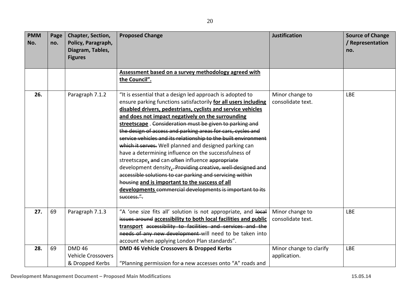| <b>PMM</b><br>No. | Page<br>no. | <b>Chapter, Section,</b><br>Policy, Paragraph,<br>Diagram, Tables,<br><b>Figures</b> | <b>Proposed Change</b>                                                                                                                                                                                                                                                                                                                                                                                                                                                                                                                                                                                                                                                                                                                                                                                                                                                       | <b>Justification</b>                    | <b>Source of Change</b><br>/ Representation<br>no. |
|-------------------|-------------|--------------------------------------------------------------------------------------|------------------------------------------------------------------------------------------------------------------------------------------------------------------------------------------------------------------------------------------------------------------------------------------------------------------------------------------------------------------------------------------------------------------------------------------------------------------------------------------------------------------------------------------------------------------------------------------------------------------------------------------------------------------------------------------------------------------------------------------------------------------------------------------------------------------------------------------------------------------------------|-----------------------------------------|----------------------------------------------------|
|                   |             |                                                                                      | Assessment based on a survey methodology agreed with<br>the Council".                                                                                                                                                                                                                                                                                                                                                                                                                                                                                                                                                                                                                                                                                                                                                                                                        |                                         |                                                    |
| 26.               |             | Paragraph 7.1.2                                                                      | "It is essential that a design led approach is adopted to<br>ensure parking functions satisfactorily for all users including<br>disabled drivers, pedestrians, cyclists and service vehicles<br>and does not impact negatively on the surrounding<br>streetscape. Consideration must be given to parking and<br>the design of access and parking areas for cars, cycles and<br>service vehicles and its relationship to the built environment<br>which it serves. Well planned and designed parking can<br>have a determining influence on the successfulness of<br>streetscape, and can-often influence appropriate<br>development density, - Providing creative, well designed and<br>accessible solutions to car parking and servicing within<br>housing and is important to the success of all<br>developments commercial developments is important to its<br>success.". | Minor change to<br>consolidate text.    | <b>LBE</b>                                         |
| 27.               | 69          | Paragraph 7.1.3                                                                      | "A 'one size fits all' solution is not appropriate, and local<br>issues around accessibility to both local facilities and public<br>transport accessibility to facilities and services and the<br>needs of any new development-will need to be taken into<br>account when applying London Plan standards".                                                                                                                                                                                                                                                                                                                                                                                                                                                                                                                                                                   | Minor change to<br>consolidate text.    | LBE                                                |
| 28.               | 69          | <b>DMD 46</b><br><b>Vehicle Crossovers</b><br>& Dropped Kerbs                        | DMD 46 Vehicle Crossovers & Dropped Kerbs<br>"Planning permission for-a new accesses onto "A" roads and                                                                                                                                                                                                                                                                                                                                                                                                                                                                                                                                                                                                                                                                                                                                                                      | Minor change to clarify<br>application. | <b>LBE</b>                                         |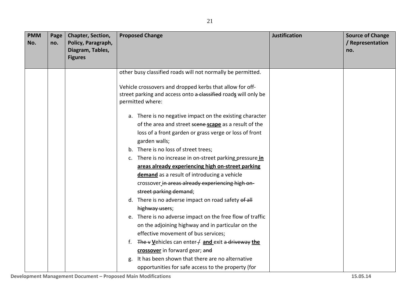| <b>PMM</b><br>No. | Page<br>no. | Chapter, Section,<br>Policy, Paragraph,<br>Diagram, Tables,<br><b>Figures</b> | <b>Justification</b><br><b>Proposed Change</b>                                                                                                 | <b>Source of Change</b><br>/ Representation<br>no. |
|-------------------|-------------|-------------------------------------------------------------------------------|------------------------------------------------------------------------------------------------------------------------------------------------|----------------------------------------------------|
|                   |             |                                                                               | other busy classified roads will not normally be permitted.                                                                                    |                                                    |
|                   |             |                                                                               | Vehicle crossovers and dropped kerbs that allow for off-<br>street parking and access onto a classified roads will only be<br>permitted where: |                                                    |
|                   |             |                                                                               | a. There is no negative impact on the existing character                                                                                       |                                                    |
|                   |             |                                                                               | of the area and street scene-scape as a result of the                                                                                          |                                                    |
|                   |             |                                                                               | loss of a front garden or grass verge or loss of front                                                                                         |                                                    |
|                   |             |                                                                               | garden walls;                                                                                                                                  |                                                    |
|                   |             |                                                                               | b. There is no loss of street trees;                                                                                                           |                                                    |
|                   |             |                                                                               | c. There is no increase in on-street parking pressure in                                                                                       |                                                    |
|                   |             |                                                                               | areas already experiencing high on-street parking                                                                                              |                                                    |
|                   |             |                                                                               | demand as a result of introducing a vehicle                                                                                                    |                                                    |
|                   |             |                                                                               | crossover in areas already experiencing high on-                                                                                               |                                                    |
|                   |             |                                                                               | street parking demand;                                                                                                                         |                                                    |
|                   |             |                                                                               | d. There is no adverse impact on road safety of all                                                                                            |                                                    |
|                   |             |                                                                               | highway users;                                                                                                                                 |                                                    |
|                   |             |                                                                               | e. There is no adverse impact on the free flow of traffic                                                                                      |                                                    |
|                   |             |                                                                               | on the adjoining highway and in particular on the                                                                                              |                                                    |
|                   |             |                                                                               | effective movement of bus services;                                                                                                            |                                                    |
|                   |             |                                                                               | f. The v Vehicles can enter $\neq$ and exit a driveway the                                                                                     |                                                    |
|                   |             |                                                                               | crossover in forward gear; and                                                                                                                 |                                                    |
|                   |             |                                                                               | It has been shown that there are no alternative<br>g.                                                                                          |                                                    |
|                   |             |                                                                               | opportunities for safe access to the property (for                                                                                             |                                                    |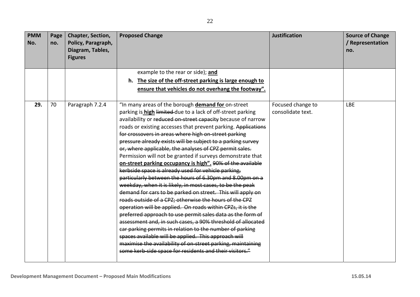| <b>PMM</b><br>No. | Page<br>no. | Chapter, Section,<br>Policy, Paragraph,<br>Diagram, Tables, | <b>Proposed Change</b>                                        | <b>Justification</b> | <b>Source of Change</b><br>/ Representation<br>no. |
|-------------------|-------------|-------------------------------------------------------------|---------------------------------------------------------------|----------------------|----------------------------------------------------|
|                   |             | <b>Figures</b>                                              |                                                               |                      |                                                    |
|                   |             |                                                             | example to the rear or side); and                             |                      |                                                    |
|                   |             |                                                             | h. The size of the off-street parking is large enough to      |                      |                                                    |
|                   |             |                                                             | ensure that vehicles do not overhang the footway".            |                      |                                                    |
| 29.               | 70          | Paragraph 7.2.4                                             | "In many areas of the borough demand for on-street            | Focused change to    | <b>LBE</b>                                         |
|                   |             |                                                             | parking is high limited due to a lack of off-street parking   | consolidate text.    |                                                    |
|                   |             |                                                             | availability or reduced on-street capacity because of narrow  |                      |                                                    |
|                   |             |                                                             | roads or existing accesses that prevent parking. Applications |                      |                                                    |
|                   |             |                                                             | for crossovers in areas where high on-street parking          |                      |                                                    |
|                   |             |                                                             | pressure already exists will be subject to a parking survey   |                      |                                                    |
|                   |             |                                                             | or, where applicable, the analyses of CPZ permit sales.       |                      |                                                    |
|                   |             |                                                             | Permission will not be granted if surveys demonstrate that    |                      |                                                    |
|                   |             |                                                             | on-street parking occupancy is high". 90% of the available    |                      |                                                    |
|                   |             |                                                             | kerbside space is already used for vehicle parking,           |                      |                                                    |
|                   |             |                                                             | particularly between the hours of 6.30pm and 8.00pm on a      |                      |                                                    |
|                   |             |                                                             | weekday, when it is likely, in most cases, to be the peak     |                      |                                                    |
|                   |             |                                                             | demand for cars to be parked on street. This will apply on    |                      |                                                    |
|                   |             |                                                             | roads outside of a CPZ: otherwise the hours of the CPZ        |                      |                                                    |
|                   |             |                                                             | operation will be applied. On roads within CPZs, it is the    |                      |                                                    |
|                   |             |                                                             | preferred approach to use permit sales data as the form of    |                      |                                                    |
|                   |             |                                                             | assessment and, in such cases, a 90% threshold of allocated   |                      |                                                    |
|                   |             |                                                             | car parking permits in relation to the number of parking      |                      |                                                    |
|                   |             |                                                             | spaces available will be applied. This approach will          |                      |                                                    |
|                   |             |                                                             | maximise the availability of on-street parking, maintaining   |                      |                                                    |
|                   |             |                                                             | some kerb-side space for residents and their visitors."       |                      |                                                    |
|                   |             |                                                             |                                                               |                      |                                                    |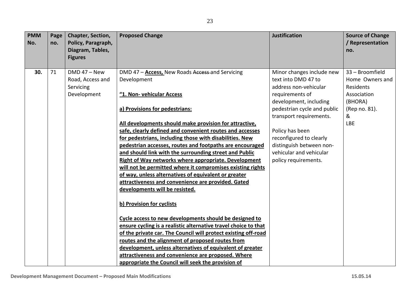| <b>PMM</b><br>No. | Page<br>no. | Chapter, Section,<br>Policy, Paragraph,<br>Diagram, Tables,<br><b>Figures</b> | <b>Proposed Change</b>                                                                                              | <b>Justification</b>                         | <b>Source of Change</b><br>/ Representation<br>no. |
|-------------------|-------------|-------------------------------------------------------------------------------|---------------------------------------------------------------------------------------------------------------------|----------------------------------------------|----------------------------------------------------|
| 30.               | 71          | $DMD 47 - New$                                                                | DMD 47 - Access, New Roads Access and Servicing                                                                     | Minor changes include new                    | 33 - Broomfield                                    |
|                   |             | Road, Access and<br>Servicing                                                 | Development                                                                                                         | text into DMD 47 to<br>address non-vehicular | Home Owners and<br>Residents                       |
|                   |             | Development                                                                   | "1. Non- vehicular Access                                                                                           | requirements of                              | Association                                        |
|                   |             |                                                                               |                                                                                                                     | development, including                       | (BHORA)                                            |
|                   |             |                                                                               | a) Provisions for pedestrians:                                                                                      | pedestrian cycle and public                  | (Rep no. 81).                                      |
|                   |             |                                                                               |                                                                                                                     | transport requirements.                      | &                                                  |
|                   |             |                                                                               | All developments should make provision for attractive,                                                              | Policy has been                              | <b>LBE</b>                                         |
|                   |             |                                                                               | safe, clearly defined and convenient routes and accesses<br>for pedestrians, including those with disabilities. New | reconfigured to clearly                      |                                                    |
|                   |             |                                                                               | pedestrian accesses, routes and footpaths are encouraged                                                            | distinguish between non-                     |                                                    |
|                   |             |                                                                               | and should link with the surrounding street and Public                                                              | vehicular and vehicular                      |                                                    |
|                   |             |                                                                               | Right of Way networks where appropriate. Development                                                                | policy requirements.                         |                                                    |
|                   |             |                                                                               | will not be permitted where it compromises existing rights                                                          |                                              |                                                    |
|                   |             |                                                                               | of way, unless alternatives of equivalent or greater                                                                |                                              |                                                    |
|                   |             |                                                                               | attractiveness and convenience are provided. Gated                                                                  |                                              |                                                    |
|                   |             |                                                                               | developments will be resisted.                                                                                      |                                              |                                                    |
|                   |             |                                                                               | b) Provision for cyclists                                                                                           |                                              |                                                    |
|                   |             |                                                                               | Cycle access to new developments should be designed to                                                              |                                              |                                                    |
|                   |             |                                                                               | ensure cycling is a realistic alternative travel choice to that                                                     |                                              |                                                    |
|                   |             |                                                                               | of the private car. The Council will protect existing off-road                                                      |                                              |                                                    |
|                   |             |                                                                               | routes and the alignment of proposed routes from                                                                    |                                              |                                                    |
|                   |             |                                                                               | development, unless alternatives of equivalent of greater                                                           |                                              |                                                    |
|                   |             |                                                                               | attractiveness and convenience are proposed. Where                                                                  |                                              |                                                    |
|                   |             |                                                                               | appropriate the Council will seek the provision of                                                                  |                                              |                                                    |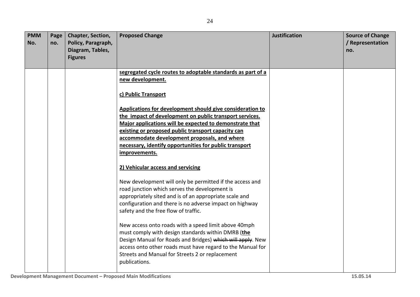| <b>PMM</b><br>No. | Page<br>no. | Chapter, Section,<br>Policy, Paragraph,<br>Diagram, Tables,<br><b>Figures</b> | <b>Proposed Change</b>                                                                                                                                                                                                                                                                                                                                                                  | <b>Justification</b> | <b>Source of Change</b><br>/ Representation<br>no. |
|-------------------|-------------|-------------------------------------------------------------------------------|-----------------------------------------------------------------------------------------------------------------------------------------------------------------------------------------------------------------------------------------------------------------------------------------------------------------------------------------------------------------------------------------|----------------------|----------------------------------------------------|
|                   |             |                                                                               | segregated cycle routes to adoptable standards as part of a<br>new development.                                                                                                                                                                                                                                                                                                         |                      |                                                    |
|                   |             |                                                                               | c) Public Transport<br>Applications for development should give consideration to<br>the impact of development on public transport services.<br>Major applications will be expected to demonstrate that<br>existing or proposed public transport capacity can<br>accommodate development proposals, and where<br>necessary, identify opportunities for public transport<br>improvements. |                      |                                                    |
|                   |             |                                                                               | 2) Vehicular access and servicing<br>New development will only be permitted if the access and<br>road junction which serves the development is<br>appropriately sited and is of an appropriate scale and<br>configuration and there is no adverse impact on highway<br>safety and the free flow of traffic.                                                                             |                      |                                                    |
|                   |             |                                                                               | New access onto roads with a speed limit above 40mph<br>must comply with design standards within DMRB (the<br>Design Manual for Roads and Bridges) which will apply. New<br>access onto other roads must have regard to the Manual for<br>Streets and Manual for Streets 2 or replacement<br>publications.                                                                              |                      |                                                    |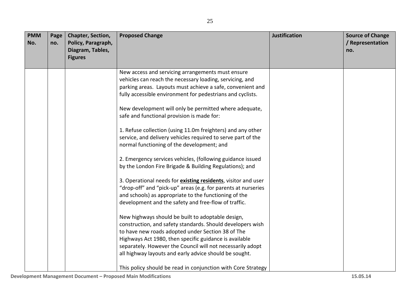| <b>PMM</b><br>No. | Page<br>no. | Chapter, Section,<br>Policy, Paragraph,<br>Diagram, Tables,<br><b>Figures</b> | <b>Proposed Change</b>                                                                                                                                                                                                                                                                                                                                 | <b>Justification</b> | <b>Source of Change</b><br>/ Representation<br>no. |
|-------------------|-------------|-------------------------------------------------------------------------------|--------------------------------------------------------------------------------------------------------------------------------------------------------------------------------------------------------------------------------------------------------------------------------------------------------------------------------------------------------|----------------------|----------------------------------------------------|
|                   |             |                                                                               | New access and servicing arrangements must ensure<br>vehicles can reach the necessary loading, servicing, and<br>parking areas. Layouts must achieve a safe, convenient and<br>fully accessible environment for pedestrians and cyclists.                                                                                                              |                      |                                                    |
|                   |             |                                                                               | New development will only be permitted where adequate,<br>safe and functional provision is made for:                                                                                                                                                                                                                                                   |                      |                                                    |
|                   |             |                                                                               | 1. Refuse collection (using 11.0m freighters) and any other<br>service, and delivery vehicles required to serve part of the<br>normal functioning of the development; and                                                                                                                                                                              |                      |                                                    |
|                   |             |                                                                               | 2. Emergency services vehicles, (following guidance issued<br>by the London Fire Brigade & Building Regulations); and                                                                                                                                                                                                                                  |                      |                                                    |
|                   |             |                                                                               | 3. Operational needs for <b>existing residents</b> , visitor and user<br>"drop-off" and "pick-up" areas (e.g. for parents at nurseries<br>and schools) as appropriate to the functioning of the<br>development and the safety and free-flow of traffic.                                                                                                |                      |                                                    |
|                   |             |                                                                               | New highways should be built to adoptable design,<br>construction, and safety standards. Should developers wish<br>to have new roads adopted under Section 38 of The<br>Highways Act 1980, then specific guidance is available<br>separately. However the Council will not necessarily adopt<br>all highway layouts and early advice should be sought. |                      |                                                    |
|                   |             |                                                                               | This policy should be read in conjunction with Core Strategy                                                                                                                                                                                                                                                                                           |                      |                                                    |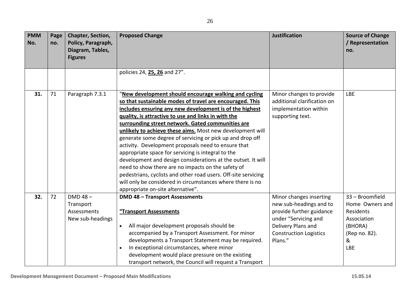| <b>PMM</b><br>No. | Page<br>no. | Chapter, Section,<br>Policy, Paragraph,<br>Diagram, Tables,<br><b>Figures</b> | <b>Proposed Change</b>                                                                                                                                                                                                                                                                                                                                                                                                                                                                                                                                                                                                                                                                                                                                                                                                     | <b>Justification</b>                                                                                                                                                     | <b>Source of Change</b><br>/ Representation<br>no.                                                            |
|-------------------|-------------|-------------------------------------------------------------------------------|----------------------------------------------------------------------------------------------------------------------------------------------------------------------------------------------------------------------------------------------------------------------------------------------------------------------------------------------------------------------------------------------------------------------------------------------------------------------------------------------------------------------------------------------------------------------------------------------------------------------------------------------------------------------------------------------------------------------------------------------------------------------------------------------------------------------------|--------------------------------------------------------------------------------------------------------------------------------------------------------------------------|---------------------------------------------------------------------------------------------------------------|
|                   |             |                                                                               | policies 24, 25, 26 and 27".                                                                                                                                                                                                                                                                                                                                                                                                                                                                                                                                                                                                                                                                                                                                                                                               |                                                                                                                                                                          |                                                                                                               |
| 31.               | 71          | Paragraph 7.3.1                                                               | "New development should encourage walking and cycling<br>so that sustainable modes of travel are encouraged. This<br>includes ensuring any new development is of the highest<br>guality, is attractive to use and links in with the<br>surrounding street network. Gated communities are<br>unlikely to achieve these aims. Most new development will<br>generate some degree of servicing or pick up and drop off<br>activity. Development proposals need to ensure that<br>appropriate space for servicing is integral to the<br>development and design considerations at the outset. It will<br>need to show there are no impacts on the safety of<br>pedestrians, cyclists and other road users. Off-site servicing<br>will only be considered in circumstances where there is no<br>appropriate on-site alternative". | Minor changes to provide<br>additional clarification on<br>implementation within<br>supporting text.                                                                     | <b>LBE</b>                                                                                                    |
| 32.               | 72          | $DMD 48 -$<br>Transport<br>Assessments<br>New sub-headings                    | <b>DMD 48 - Transport Assessments</b><br>"Transport Assessments<br>All major development proposals should be<br>$\bullet$<br>accompanied by a Transport Assessment. For minor<br>developments a Transport Statement may be required.<br>In exceptional circumstances, where minor<br>$\bullet$<br>development would place pressure on the existing<br>transport network, the Council will request a Transport                                                                                                                                                                                                                                                                                                                                                                                                              | Minor changes inserting<br>new sub-headings and to<br>provide further guidance<br>under "Servicing and<br>Delivery Plans and<br><b>Construction Logistics</b><br>Plans." | 33 - Broomfield<br>Home Owners and<br>Residents<br>Association<br>(BHORA)<br>(Rep no. 82).<br>&<br><b>LBE</b> |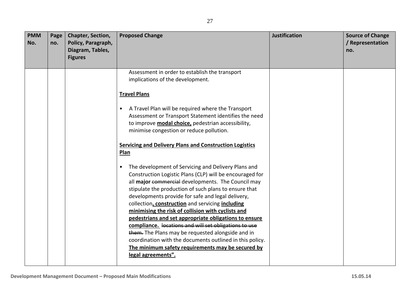| <b>PMM</b><br>No. | Page<br>no. | Chapter, Section,<br>Policy, Paragraph,<br>Diagram, Tables, | <b>Proposed Change</b>                                                                                                                                                                                                                                                                                                                                                                                                                                                                                                                                                                                                                                                                                                   | <b>Justification</b> | <b>Source of Change</b><br>/ Representation<br>no. |
|-------------------|-------------|-------------------------------------------------------------|--------------------------------------------------------------------------------------------------------------------------------------------------------------------------------------------------------------------------------------------------------------------------------------------------------------------------------------------------------------------------------------------------------------------------------------------------------------------------------------------------------------------------------------------------------------------------------------------------------------------------------------------------------------------------------------------------------------------------|----------------------|----------------------------------------------------|
|                   |             | <b>Figures</b>                                              |                                                                                                                                                                                                                                                                                                                                                                                                                                                                                                                                                                                                                                                                                                                          |                      |                                                    |
|                   |             |                                                             | Assessment in order to establish the transport<br>implications of the development.                                                                                                                                                                                                                                                                                                                                                                                                                                                                                                                                                                                                                                       |                      |                                                    |
|                   |             |                                                             | <b>Travel Plans</b>                                                                                                                                                                                                                                                                                                                                                                                                                                                                                                                                                                                                                                                                                                      |                      |                                                    |
|                   |             |                                                             | A Travel Plan will be required where the Transport<br>$\bullet$<br>Assessment or Transport Statement identifies the need<br>to improve <b>modal choice</b> , pedestrian accessibility,<br>minimise congestion or reduce pollution.                                                                                                                                                                                                                                                                                                                                                                                                                                                                                       |                      |                                                    |
|                   |             |                                                             | <b>Servicing and Delivery Plans and Construction Logistics</b><br>Plan                                                                                                                                                                                                                                                                                                                                                                                                                                                                                                                                                                                                                                                   |                      |                                                    |
|                   |             |                                                             | The development of Servicing and Delivery Plans and<br>$\bullet$<br>Construction Logistic Plans (CLP) will be encouraged for<br>all major commercial developments. The Council may<br>stipulate the production of such plans to ensure that<br>developments provide for safe and legal delivery,<br>collection, construction and servicing including<br>minimising the risk of collision with cyclists and<br>pedestrians and set appropriate obligations to ensure<br>compliance. locations and will set obligations to use<br>them. The Plans may be requested alongside and in<br>coordination with the documents outlined in this policy.<br>The minimum safety requirements may be secured by<br>legal agreements". |                      |                                                    |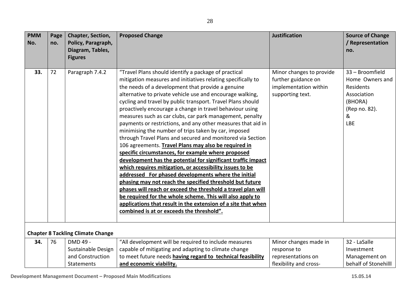| <b>PMM</b><br>No. | Page<br>no. | Chapter, Section,<br>Policy, Paragraph,<br>Diagram, Tables,<br><b>Figures</b> | <b>Proposed Change</b>                                                                                                                                                                                                                                                                                                                                                                                                                                                                                                                                                                                                                                                                                                                                                                                                                                                                                                                                                                                                                                                                                                                                                                                                      | <b>Justification</b>                                                                         | <b>Source of Change</b><br>/ Representation<br>no.                                                            |
|-------------------|-------------|-------------------------------------------------------------------------------|-----------------------------------------------------------------------------------------------------------------------------------------------------------------------------------------------------------------------------------------------------------------------------------------------------------------------------------------------------------------------------------------------------------------------------------------------------------------------------------------------------------------------------------------------------------------------------------------------------------------------------------------------------------------------------------------------------------------------------------------------------------------------------------------------------------------------------------------------------------------------------------------------------------------------------------------------------------------------------------------------------------------------------------------------------------------------------------------------------------------------------------------------------------------------------------------------------------------------------|----------------------------------------------------------------------------------------------|---------------------------------------------------------------------------------------------------------------|
| 33.               | 72          | Paragraph 7.4.2                                                               | "Travel Plans should identify a package of practical<br>mitigation measures and initiatives relating specifically to<br>the needs of a development that provide a genuine<br>alternative to private vehicle use and encourage walking,<br>cycling and travel by public transport. Travel Plans should<br>proactively encourage a change in travel behaviour using<br>measures such as car clubs, car park management, penalty<br>payments or restrictions, and any other measures that aid in<br>minimising the number of trips taken by car, imposed<br>through Travel Plans and secured and monitored via Section<br>106 agreements. Travel Plans may also be required in<br>specific circumstances, for example where proposed<br>development has the potential for significant traffic impact<br>which requires mitigation, or accessibility issues to be<br>addressed For phased developments where the initial<br>phasing may not reach the specified threshold but future<br>phases will reach or exceed the threshold a travel plan will<br>be required for the whole scheme. This will also apply to<br>applications that result in the extension of a site that when<br>combined is at or exceeds the threshold". | Minor changes to provide<br>further guidance on<br>implementation within<br>supporting text. | 33 - Broomfield<br>Home Owners and<br>Residents<br>Association<br>(BHORA)<br>(Rep no. 82).<br>&<br><b>LBE</b> |
|                   |             | <b>Chapter 8 Tackling Climate Change</b>                                      |                                                                                                                                                                                                                                                                                                                                                                                                                                                                                                                                                                                                                                                                                                                                                                                                                                                                                                                                                                                                                                                                                                                                                                                                                             |                                                                                              |                                                                                                               |
| 34.               | 76          | DMD 49 -<br>Sustainable Design<br>and Construction<br><b>Statements</b>       | "All development will be required to include measures<br>capable of mitigating and adapting to climate change<br>to meet future needs having regard to technical feasibility<br>and economic viability.                                                                                                                                                                                                                                                                                                                                                                                                                                                                                                                                                                                                                                                                                                                                                                                                                                                                                                                                                                                                                     | Minor changes made in<br>response to<br>representations on<br>flexibility and cross-         | 32 - LaSalle<br>Investment<br>Management on<br>behalf of Stonehilll                                           |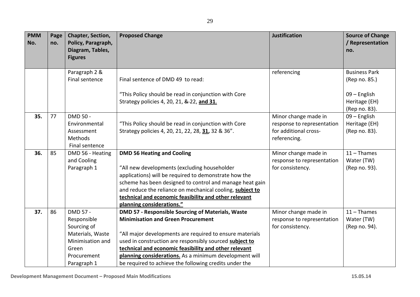| <b>PMM</b><br>No. | Page<br>no. | Chapter, Section,<br>Policy, Paragraph,<br>Diagram, Tables,<br><b>Figures</b>                                         | <b>Proposed Change</b>                                                                                                                                                                                                                                                                                                                                                                             | <b>Justification</b>                                                                        | <b>Source of Change</b><br>/ Representation<br>no.                     |
|-------------------|-------------|-----------------------------------------------------------------------------------------------------------------------|----------------------------------------------------------------------------------------------------------------------------------------------------------------------------------------------------------------------------------------------------------------------------------------------------------------------------------------------------------------------------------------------------|---------------------------------------------------------------------------------------------|------------------------------------------------------------------------|
|                   |             | Paragraph 2 &<br>Final sentence                                                                                       | Final sentence of DMD 49 to read:<br>"This Policy should be read in conjunction with Core<br>Strategy policies 4, 20, 21, & 22, and 31.                                                                                                                                                                                                                                                            | referencing                                                                                 | <b>Business Park</b><br>(Rep no. 85.)<br>09 - English<br>Heritage (EH) |
| 35.               | 77          | DMD 50 -<br>Environmental<br>Assessment<br>Methods<br>Final sentence                                                  | "This Policy should be read in conjunction with Core<br>Strategy policies 4, 20, 21, 22, 28, 31, 32 & 36".                                                                                                                                                                                                                                                                                         | Minor change made in<br>response to representation<br>for additional cross-<br>referencing. | (Rep no. 83).<br>09 - English<br>Heritage (EH)<br>(Rep no. 83).        |
| 36.               | 85          | DMD 56 - Heating<br>and Cooling<br>Paragraph 1                                                                        | <b>DMD 56 Heating and Cooling</b><br>"All new developments (excluding householder<br>applications) will be required to demonstrate how the<br>scheme has been designed to control and manage heat gain<br>and reduce the reliance on mechanical cooling, subject to<br>technical and economic feasibility and other relevant<br>planning considerations."                                          | Minor change made in<br>response to representation<br>for consistency.                      | $11 -$ Thames<br>Water (TW)<br>(Rep no. 93).                           |
| 37.               | 86          | DMD 57 -<br>Responsible<br>Sourcing of<br>Materials, Waste<br>Minimisation and<br>Green<br>Procurement<br>Paragraph 1 | DMD 57 - Responsible Sourcing of Materials, Waste<br><b>Minimisation and Green Procurement</b><br>"All major developments are required to ensure materials<br>used in construction are responsibly sourced subject to<br>technical and economic feasibility and other relevant<br>planning considerations. As a minimum development will<br>be required to achieve the following credits under the | Minor change made in<br>response to representation<br>for consistency.                      | $11 -$ Thames<br>Water (TW)<br>(Rep no. 94).                           |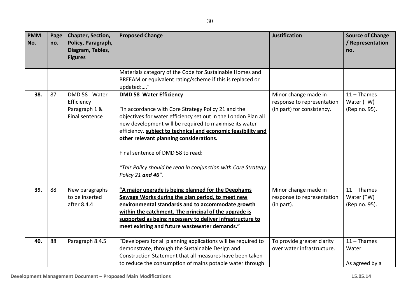| <b>PMM</b><br>No. | Page<br>no. | Chapter, Section,<br>Policy, Paragraph,<br>Diagram, Tables,<br><b>Figures</b> | <b>Proposed Change</b>                                                                                                                                                                                                                                                                                                                                                                                                                                    | <b>Justification</b>                                                             | <b>Source of Change</b><br>/ Representation<br>no. |
|-------------------|-------------|-------------------------------------------------------------------------------|-----------------------------------------------------------------------------------------------------------------------------------------------------------------------------------------------------------------------------------------------------------------------------------------------------------------------------------------------------------------------------------------------------------------------------------------------------------|----------------------------------------------------------------------------------|----------------------------------------------------|
|                   |             |                                                                               | Materials category of the Code for Sustainable Homes and<br>BREEAM or equivalent rating/scheme if this is replaced or<br>updated:"                                                                                                                                                                                                                                                                                                                        |                                                                                  |                                                    |
| 38.               | 87          | DMD 58 - Water<br>Efficiency<br>Paragraph 1 &<br>Final sentence               | <b>DMD 58 Water Efficiency</b><br>"In accordance with Core Strategy Policy 21 and the<br>objectives for water efficiency set out in the London Plan all<br>new development will be required to maximise its water<br>efficiency, subject to technical and economic feasibility and<br>other relevant planning considerations.<br>Final sentence of DMD 58 to read:<br>"This Policy should be read in conjunction with Core Strategy<br>Policy 21 and 46". | Minor change made in<br>response to representation<br>(in part) for consistency. | $11 -$ Thames<br>Water (TW)<br>(Rep no. 95).       |
| 39.               | 88          | New paragraphs<br>to be inserted<br>after 8.4.4                               | "A major upgrade is being planned for the Deephams<br>Sewage Works during the plan period, to meet new<br>environmental standards and to accommodate growth<br>within the catchment. The principal of the upgrade is<br>supported as being necessary to deliver infrastructure to<br>meet existing and future wastewater demands."                                                                                                                        | Minor change made in<br>response to representation<br>(in part).                 | $11 -$ Thames<br>Water (TW)<br>(Rep no. 95).       |
| 40.               | 88          | Paragraph 8.4.5                                                               | "Developers for all planning applications will be required to<br>demonstrate, through the Sustainable Design and<br>Construction Statement that all measures have been taken<br>to reduce the consumption of mains potable water through                                                                                                                                                                                                                  | To provide greater clarity<br>over water infrastructure.                         | $11 -$ Thames<br>Water<br>As agreed by a           |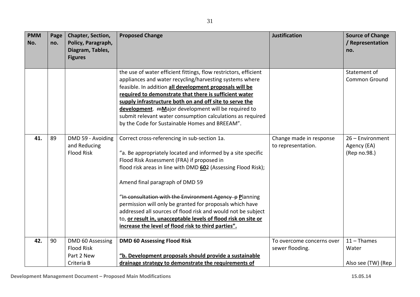| <b>PMM</b><br>No. | Page<br>no. | <b>Chapter, Section,</b><br>Policy, Paragraph,<br>Diagram, Tables,<br><b>Figures</b> | <b>Proposed Change</b>                                                                                                                                                                                                                                                                                                                                                                                                                                                                                                                                                         | <b>Justification</b>                          | <b>Source of Change</b><br>/ Representation<br>no. |
|-------------------|-------------|--------------------------------------------------------------------------------------|--------------------------------------------------------------------------------------------------------------------------------------------------------------------------------------------------------------------------------------------------------------------------------------------------------------------------------------------------------------------------------------------------------------------------------------------------------------------------------------------------------------------------------------------------------------------------------|-----------------------------------------------|----------------------------------------------------|
|                   |             |                                                                                      | the use of water efficient fittings, flow restrictors, efficient<br>appliances and water recycling/harvesting systems where<br>feasible. In addition all development proposals will be<br>required to demonstrate that there is sufficient water<br>supply infrastructure both on and off site to serve the<br>development. mMajor development will be required to<br>submit relevant water consumption calculations as required<br>by the Code for Sustainable Homes and BREEAM".                                                                                             |                                               | Statement of<br><b>Common Ground</b>               |
| 41.               | 89          | DMD 59 - Avoiding<br>and Reducing<br><b>Flood Risk</b>                               | Correct cross-referencing in sub-section 1a.<br>"a. Be appropriately located and informed by a site specific<br>Flood Risk Assessment (FRA) if proposed in<br>flood risk areas in line with DMD 602 (Assessing Flood Risk);<br>Amend final paragraph of DMD 59<br>"In consultation with the Environment Agency p Planning<br>permission will only be granted for proposals which have<br>addressed all sources of flood risk and would not be subject<br>to, or result in, unacceptable levels of flood risk on site or<br>increase the level of flood risk to third parties". | Change made in response<br>to representation. | 26 - Environment<br>Agency (EA)<br>(Rep no.98.)    |
| 42.               | 90          | DMD 60 Assessing<br><b>Flood Risk</b><br>Part 2 New                                  | <b>DMD 60 Assessing Flood Risk</b><br>"b. Development proposals should provide a sustainable                                                                                                                                                                                                                                                                                                                                                                                                                                                                                   | To overcome concerns over<br>sewer flooding.  | $11 -$ Thames<br>Water                             |
|                   |             | Criteria B                                                                           | drainage strategy to demonstrate the requirements of                                                                                                                                                                                                                                                                                                                                                                                                                                                                                                                           |                                               | Also see (TW) (Rep                                 |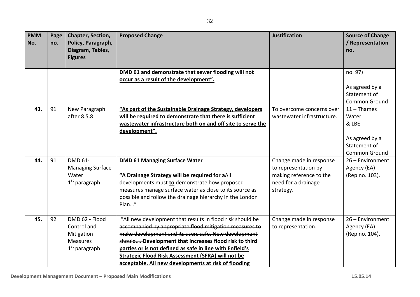| <b>PMM</b><br>No. | Page<br>no. | Chapter, Section,<br>Policy, Paragraph,<br>Diagram, Tables,<br><b>Figures</b> | <b>Proposed Change</b>                                                                        | <b>Justification</b>                            | <b>Source of Change</b><br>/ Representation<br>no. |
|-------------------|-------------|-------------------------------------------------------------------------------|-----------------------------------------------------------------------------------------------|-------------------------------------------------|----------------------------------------------------|
|                   |             |                                                                               |                                                                                               |                                                 |                                                    |
|                   |             |                                                                               | DMD 61 and demonstrate that sewer flooding will not<br>occur as a result of the development". |                                                 | no. 97)                                            |
|                   |             |                                                                               |                                                                                               |                                                 | As agreed by a                                     |
|                   |             |                                                                               |                                                                                               |                                                 | Statement of                                       |
|                   |             |                                                                               |                                                                                               |                                                 | Common Ground                                      |
| 43.               | 91          | New Paragraph                                                                 | "As part of the Sustainable Drainage Strategy, developers                                     | To overcome concerns over                       | $11 -$ Thames                                      |
|                   |             | after 8.5.8                                                                   | will be required to demonstrate that there is sufficient                                      | wastewater infrastructure.                      | Water                                              |
|                   |             |                                                                               | wastewater infrastructure both on and off site to serve the                                   |                                                 | & LBE                                              |
|                   |             |                                                                               | development".                                                                                 |                                                 |                                                    |
|                   |             |                                                                               |                                                                                               |                                                 | As agreed by a                                     |
|                   |             |                                                                               |                                                                                               |                                                 | Statement of                                       |
|                   |             |                                                                               |                                                                                               |                                                 | <b>Common Ground</b>                               |
| 44.               | 91          | DMD 61-                                                                       | <b>DMD 61 Managing Surface Water</b>                                                          | Change made in response                         | 26 - Environment                                   |
|                   |             | <b>Managing Surface</b><br>Water                                              | "A Drainage Strategy will be required for aAll                                                | to representation by<br>making reference to the | Agency (EA)<br>(Rep no. 103).                      |
|                   |             | $1st$ paragraph                                                               | developments must to demonstrate how proposed                                                 | need for a drainage                             |                                                    |
|                   |             |                                                                               | measures manage surface water as close to its source as                                       | strategy.                                       |                                                    |
|                   |             |                                                                               | possible and follow the drainage hierarchy in the London                                      |                                                 |                                                    |
|                   |             |                                                                               | Plan"                                                                                         |                                                 |                                                    |
|                   |             |                                                                               |                                                                                               |                                                 |                                                    |
| 45.               | 92          | DMD 62 - Flood                                                                | "All new development that results in flood risk should be                                     | Change made in response                         | 26 - Environment                                   |
|                   |             | Control and                                                                   | accompanied by appropriate flood mitigation measures to                                       | to representation.                              | Agency (EA)                                        |
|                   |             | Mitigation                                                                    | make development and its users safe. New development                                          |                                                 | (Rep no. 104).                                     |
|                   |             | <b>Measures</b>                                                               | should Development that increases flood risk to third                                         |                                                 |                                                    |
|                   |             | $1st$ paragraph                                                               | parties or is not defined as safe in line with Enfield's                                      |                                                 |                                                    |
|                   |             |                                                                               | <b>Strategic Flood Risk Assessment (SFRA) will not be</b>                                     |                                                 |                                                    |
|                   |             |                                                                               | acceptable. All new developments at risk of flooding                                          |                                                 |                                                    |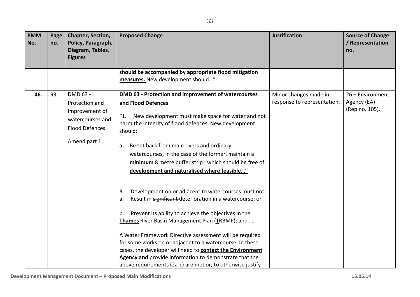| <b>PMM</b><br>No. | Page<br>no. | Chapter, Section,<br>Policy, Paragraph,<br>Diagram, Tables,<br><b>Figures</b>                             | <b>Proposed Change</b>                                                                                                                                                                                                                                                                                                                                                                                                                                                                                                                                    | <b>Justification</b>                                 | <b>Source of Change</b><br>/ Representation<br>no. |
|-------------------|-------------|-----------------------------------------------------------------------------------------------------------|-----------------------------------------------------------------------------------------------------------------------------------------------------------------------------------------------------------------------------------------------------------------------------------------------------------------------------------------------------------------------------------------------------------------------------------------------------------------------------------------------------------------------------------------------------------|------------------------------------------------------|----------------------------------------------------|
|                   |             |                                                                                                           | should be accompanied by appropriate flood mitigation<br>measures. New development should"                                                                                                                                                                                                                                                                                                                                                                                                                                                                |                                                      |                                                    |
| 46.               | 93          | DMD 63 -<br>Protection and<br>improvement of<br>watercourses and<br><b>Flood Defences</b><br>Amend part 1 | DMD 63 - Protection and improvement of watercourses<br>and Flood Defences<br>"1.<br>New development must make space for water and not<br>harm the integrity of flood defences. New development<br>should:<br>a. Be set back from main rivers and ordinary<br>watercourses, in the case of the former, maintain a<br>minimum 8 metre buffer strip; which should be free of<br>development and naturalised where feasible"                                                                                                                                  | Minor changes made in<br>response to representation. | 26 - Environment<br>Agency (EA)<br>(Rep no. 105).  |
|                   |             |                                                                                                           | Development on or adjacent to watercourses must not:<br>3.<br>Result in significant-deterioration in a watercourse; or<br>a.<br>Prevent its ability to achieve the objectives in the<br>b.<br>Thames River Basin Management Plan (TRBMP); and<br>A Water Framework Directive assessment will be required<br>for some works on or adjacent to a watercourse. In these<br>cases, the developer will need to contact the Environment<br>Agency and provide information to demonstrate that the<br>above requirements (2a-c) are met or, to otherwise justify |                                                      |                                                    |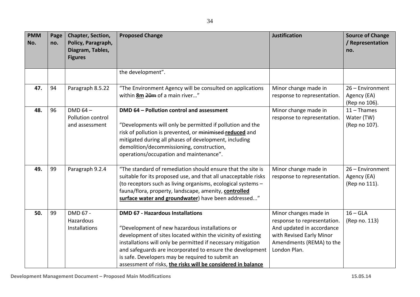| <b>PMM</b><br>No. | Page<br>no. | Chapter, Section,<br>Policy, Paragraph,<br>Diagram, Tables,<br><b>Figures</b> | <b>Proposed Change</b>                                                                                                                                                                                                                                                                                                                                                                                     | <b>Justification</b>                                                                                                                                      | <b>Source of Change</b><br>/ Representation<br>no. |
|-------------------|-------------|-------------------------------------------------------------------------------|------------------------------------------------------------------------------------------------------------------------------------------------------------------------------------------------------------------------------------------------------------------------------------------------------------------------------------------------------------------------------------------------------------|-----------------------------------------------------------------------------------------------------------------------------------------------------------|----------------------------------------------------|
|                   |             |                                                                               | the development".                                                                                                                                                                                                                                                                                                                                                                                          |                                                                                                                                                           |                                                    |
|                   |             |                                                                               |                                                                                                                                                                                                                                                                                                                                                                                                            |                                                                                                                                                           |                                                    |
| 47.               | 94          | Paragraph 8.5.22                                                              | "The Environment Agency will be consulted on applications                                                                                                                                                                                                                                                                                                                                                  | Minor change made in                                                                                                                                      | 26 - Environment                                   |
|                   |             |                                                                               | within <b>8m</b> 20m of a main river"                                                                                                                                                                                                                                                                                                                                                                      | response to representation.                                                                                                                               | Agency (EA)<br>(Rep no 106).                       |
| 48.               | 96          | DMD $64-$<br>Pollution control<br>and assessment                              | DMD 64 - Pollution control and assessment<br>"Developments will only be permitted if pollution and the                                                                                                                                                                                                                                                                                                     | Minor change made in<br>response to representation.                                                                                                       | $11 -$ Thames<br>Water (TW)<br>(Rep no 107).       |
|                   |             |                                                                               | risk of pollution is prevented, or minimised-reduced and<br>mitigated during all phases of development, including<br>demolition/decommissioning, construction,<br>operations/occupation and maintenance".                                                                                                                                                                                                  |                                                                                                                                                           |                                                    |
| 49.               | 99          | Paragraph 9.2.4                                                               | "The standard of remediation should ensure that the site is<br>suitable for its proposed use, and that all unacceptable risks<br>(to receptors such as living organisms, ecological systems -<br>fauna/flora, property, landscape, amenity, controlled<br>surface water and groundwater) have been addressed"                                                                                              | Minor change made in<br>response to representation.                                                                                                       | 26 - Environment<br>Agency (EA)<br>(Rep no 111).   |
| 50.               | 99          | DMD 67 -<br>Hazardous<br>Installations                                        | <b>DMD 67 - Hazardous Installations</b><br>"Development of new hazardous installations or<br>development of sites located within the vicinity of existing<br>installations will only be permitted if necessary mitigation<br>and safeguards are incorporated to ensure the development<br>is safe. Developers may be required to submit an<br>assessment of risks, the risks will be considered in balance | Minor changes made in<br>response to representation.<br>And updated in accordance<br>with Revised Early Minor<br>Amendments (REMA) to the<br>London Plan. | $16 - GLA$<br>(Rep no. 113)                        |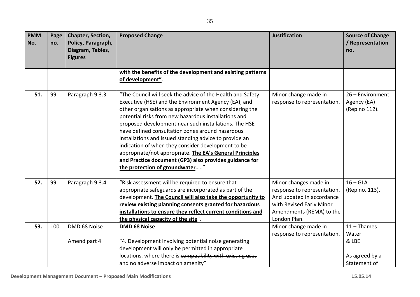| <b>PMM</b><br>No. | Page<br>no. | <b>Chapter, Section,</b><br>Policy, Paragraph,<br>Diagram, Tables,<br><b>Figures</b> | <b>Proposed Change</b>                                                                                                                                                                                                                                                                                                                                                                                                                                                                                                                                                                                                     | <b>Justification</b>                                                                                                                                      | <b>Source of Change</b><br>/ Representation<br>no. |
|-------------------|-------------|--------------------------------------------------------------------------------------|----------------------------------------------------------------------------------------------------------------------------------------------------------------------------------------------------------------------------------------------------------------------------------------------------------------------------------------------------------------------------------------------------------------------------------------------------------------------------------------------------------------------------------------------------------------------------------------------------------------------------|-----------------------------------------------------------------------------------------------------------------------------------------------------------|----------------------------------------------------|
|                   |             |                                                                                      | with the benefits of the development and existing patterns<br>of development".                                                                                                                                                                                                                                                                                                                                                                                                                                                                                                                                             |                                                                                                                                                           |                                                    |
| 51.               | 99          | Paragraph 9.3.3                                                                      | "The Council will seek the advice of the Health and Safety<br>Executive (HSE) and the Environment Agency (EA), and<br>other organisations as appropriate when considering the<br>potential risks from new hazardous installations and<br>proposed development near such installations. The HSE<br>have defined consultation zones around hazardous<br>installations and issued standing advice to provide an<br>indication of when they consider development to be<br>appropriate/not appropriate. The EA's General Principles<br>and Practice document (GP3) also provides guidance for<br>the protection of groundwater" | Minor change made in<br>response to representation.                                                                                                       | 26 - Environment<br>Agency (EA)<br>(Rep no 112).   |
| 52.               | 99          | Paragraph 9.3.4                                                                      | "Risk assessment will be required to ensure that<br>appropriate safeguards are incorporated as part of the<br>development. The Council will also take the opportunity to<br>review existing planning consents granted for hazardous<br>installations to ensure they reflect current conditions and<br>the physical capacity of the site".                                                                                                                                                                                                                                                                                  | Minor changes made in<br>response to representation.<br>And updated in accordance<br>with Revised Early Minor<br>Amendments (REMA) to the<br>London Plan. | $16 - GLA$<br>(Rep no. 113).                       |
| 53.               | 100         | DMD 68 Noise<br>Amend part 4                                                         | <b>DMD 68 Noise</b><br>"4. Development involving potential noise generating                                                                                                                                                                                                                                                                                                                                                                                                                                                                                                                                                | Minor change made in<br>response to representation.                                                                                                       | $11 -$ Thames<br>Water<br>& LBE                    |
|                   |             |                                                                                      | development will only be permitted in appropriate<br>locations, where there is compatibility with existing uses<br>and no adverse impact on amenity"                                                                                                                                                                                                                                                                                                                                                                                                                                                                       |                                                                                                                                                           | As agreed by a<br>Statement of                     |

┱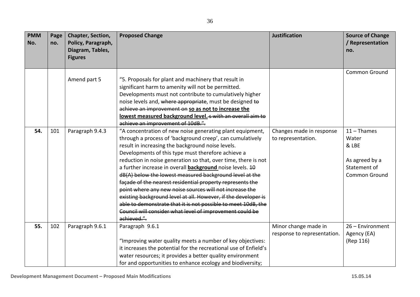| <b>PMM</b><br>No. | Page<br>no. | Chapter, Section,<br>Policy, Paragraph,<br>Diagram, Tables,<br><b>Figures</b> | <b>Proposed Change</b>                                                                                                                                                                                                                                                                                                                                                                                                                                                                                                                                                                                                                                                                                                                                                   | <b>Justification</b>                                | <b>Source of Change</b><br>/ Representation<br>no.                                 |
|-------------------|-------------|-------------------------------------------------------------------------------|--------------------------------------------------------------------------------------------------------------------------------------------------------------------------------------------------------------------------------------------------------------------------------------------------------------------------------------------------------------------------------------------------------------------------------------------------------------------------------------------------------------------------------------------------------------------------------------------------------------------------------------------------------------------------------------------------------------------------------------------------------------------------|-----------------------------------------------------|------------------------------------------------------------------------------------|
|                   |             | Amend part 5                                                                  | "5. Proposals for plant and machinery that result in<br>significant harm to amenity will not be permitted.<br>Developments must not contribute to cumulatively higher<br>noise levels and, where appropriate, must be designed to<br>achieve an improvement on so as not to increase the<br>lowest measured background level. 5 with an overall aim to<br>achieve an improvement of 10dB.".                                                                                                                                                                                                                                                                                                                                                                              |                                                     | Common Ground                                                                      |
| 54.               | 101         | Paragraph 9.4.3                                                               | "A concentration of new noise generating plant equipment,<br>through a process of 'background creep', can cumulatively<br>result in increasing the background noise levels.<br>Developments of this type must therefore achieve a<br>reduction in noise generation so that, over time, there is not<br>a further increase in overall <b>background</b> noise levels. 40<br>dB(A) below the lowest measured background level at the<br>façade of the nearest residential property represents the<br>point where any new noise sources will not increase the<br>existing background level at all. However, if the developer is<br>able to demonstrate that it is not possible to meet 10dB, the<br>Council will consider what level of improvement could be<br>achieved.". | Changes made in response<br>to representation.      | $11 -$ Thames<br>Water<br>& LBE<br>As agreed by a<br>Statement of<br>Common Ground |
| 55.               | 102         | Paragraph 9.6.1                                                               | Paragraph 9.6.1<br>"Improving water quality meets a number of key objectives:<br>it increases the potential for the recreational use of Enfield's<br>water resources; it provides a better quality environment<br>for and opportunities to enhance ecology and biodiversity;                                                                                                                                                                                                                                                                                                                                                                                                                                                                                             | Minor change made in<br>response to representation. | 26 - Environment<br>Agency (EA)<br>(Rep 116)                                       |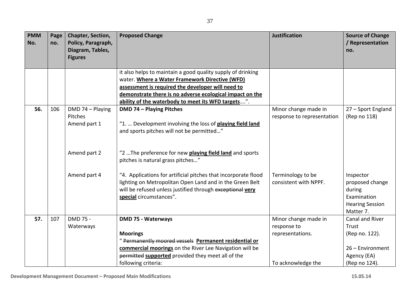| <b>PMM</b><br>No. | Page<br>no. | Chapter, Section,<br>Policy, Paragraph,<br>Diagram, Tables,<br><b>Figures</b> | <b>Proposed Change</b>                                                                                                                                                                                             | <b>Justification</b>                               | <b>Source of Change</b><br>/ Representation<br>no.                                           |
|-------------------|-------------|-------------------------------------------------------------------------------|--------------------------------------------------------------------------------------------------------------------------------------------------------------------------------------------------------------------|----------------------------------------------------|----------------------------------------------------------------------------------------------|
|                   |             |                                                                               | it also helps to maintain a good quality supply of drinking<br>water. Where a Water Framework Directive (WFD)                                                                                                      |                                                    |                                                                                              |
|                   |             |                                                                               | assessment is required the developer will need to                                                                                                                                                                  |                                                    |                                                                                              |
|                   |             |                                                                               | demonstrate there is no adverse ecological impact on the                                                                                                                                                           |                                                    |                                                                                              |
|                   |             |                                                                               | ability of the waterbody to meet its WFD targets".                                                                                                                                                                 |                                                    |                                                                                              |
| 56.               | 106         | DMD 74 - Playing<br>Pitches                                                   | <b>DMD 74 - Playing Pitches</b>                                                                                                                                                                                    | Minor change made in<br>response to representation | 27 - Sport England<br>(Rep no 118)                                                           |
|                   |             | Amend part 1                                                                  | "1.  Development involving the loss of playing field land<br>and sports pitches will not be permitted"                                                                                                             |                                                    |                                                                                              |
|                   |             | Amend part 2                                                                  | "2  The preference for new <b>playing field land</b> and sports<br>pitches is natural grass pitches"                                                                                                               |                                                    |                                                                                              |
|                   |             | Amend part 4                                                                  | "4. Applications for artificial pitches that incorporate flood<br>lighting on Metropolitan Open Land and in the Green Belt<br>will be refused unless justified through exceptional very<br>special circumstances". | Terminology to be<br>consistent with NPPF.         | Inspector<br>proposed change<br>during<br>Examination<br><b>Hearing Session</b><br>Matter 7. |
| 57.               | 107         | DMD 75 -                                                                      | <b>DMD 75 - Waterways</b>                                                                                                                                                                                          | Minor change made in                               | Canal and River                                                                              |
|                   |             | Waterways                                                                     |                                                                                                                                                                                                                    | response to                                        | Trust                                                                                        |
|                   |             |                                                                               | <b>Moorings</b>                                                                                                                                                                                                    | representations.                                   | (Rep no. 122).                                                                               |
|                   |             |                                                                               | "Permanently moored vessels Permanent residential or                                                                                                                                                               |                                                    |                                                                                              |
|                   |             |                                                                               | commercial moorings on the River Lee Navigation will be                                                                                                                                                            |                                                    | 26 - Environment                                                                             |
|                   |             |                                                                               | permitted supported provided they meet all of the<br>following criteria:                                                                                                                                           | To acknowledge the                                 | Agency (EA)                                                                                  |
|                   |             |                                                                               |                                                                                                                                                                                                                    |                                                    | (Rep no 124).                                                                                |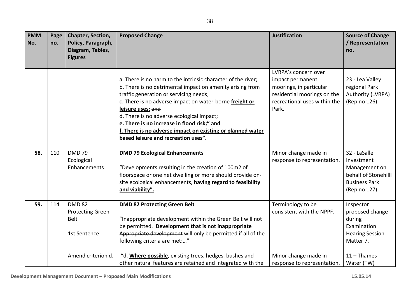| <b>PMM</b><br>No. | Page<br>no. | Chapter, Section,<br>Policy, Paragraph,<br>Diagram, Tables,<br><b>Figures</b> | <b>Proposed Change</b>                                                                                                                                                                                                                                                                                                                                                                                                                               | <b>Justification</b>                                                                                                                        | <b>Source of Change</b><br>/ Representation<br>no.                                                           |
|-------------------|-------------|-------------------------------------------------------------------------------|------------------------------------------------------------------------------------------------------------------------------------------------------------------------------------------------------------------------------------------------------------------------------------------------------------------------------------------------------------------------------------------------------------------------------------------------------|---------------------------------------------------------------------------------------------------------------------------------------------|--------------------------------------------------------------------------------------------------------------|
|                   |             |                                                                               | a. There is no harm to the intrinsic character of the river;<br>b. There is no detrimental impact on amenity arising from<br>traffic generation or servicing needs;<br>c. There is no adverse impact on water-borne freight or<br>leisure uses; and<br>d. There is no adverse ecological impact;<br>e. There is no increase in flood risk;" and<br>f. There is no adverse impact on existing or planned water<br>based leisure and recreation uses". | LVRPA's concern over<br>impact permanent<br>moorings, in particular<br>residential moorings on the<br>recreational uses within the<br>Park. | 23 - Lea Valley<br>regional Park<br>Authority (LVRPA)<br>(Rep no 126).                                       |
| 58.               | 110         | DMD 79-<br>Ecological<br>Enhancements                                         | <b>DMD 79 Ecological Enhancements</b><br>"Developments resulting in the creation of 100m2 of<br>floorspace or one net dwelling or more should provide on-<br>site ecological enhancements, having regard to feasibility<br>and viability".                                                                                                                                                                                                           | Minor change made in<br>response to representation.                                                                                         | 32 - LaSalle<br>Investment<br>Management on<br>behalf of Stonehilll<br><b>Business Park</b><br>(Rep no 127). |
| 59.               | 114         | <b>DMD 82</b><br><b>Protecting Green</b><br>Belt<br>1st Sentence              | <b>DMD 82 Protecting Green Belt</b><br>"Inappropriate development within the Green Belt will not<br>be permitted. Development that is not inappropriate<br>Appropriate development will only be permitted if all of the<br>following criteria are met:"                                                                                                                                                                                              | Terminology to be<br>consistent with the NPPF.                                                                                              | Inspector<br>proposed change<br>during<br>Examination<br><b>Hearing Session</b><br>Matter 7.                 |
|                   |             | Amend criterion d.                                                            | "d. Where possible, existing trees, hedges, bushes and<br>other natural features are retained and integrated with the                                                                                                                                                                                                                                                                                                                                | Minor change made in<br>response to representation.                                                                                         | $11 -$ Thames<br>Water (TW)                                                                                  |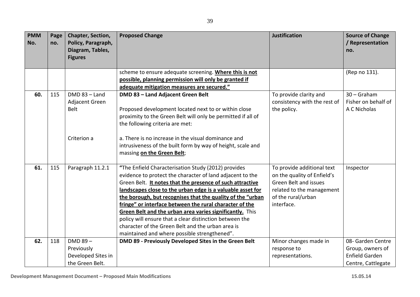| <b>PMM</b><br>No. | Page<br>no. | <b>Chapter, Section,</b><br>Policy, Paragraph,<br>Diagram, Tables,<br><b>Figures</b> | <b>Proposed Change</b>                                                                                                                                                                                                                                                                                                                                                                                                                                                                                                                                                                           | <b>Justification</b>                                                                                                                                       | <b>Source of Change</b><br>/ Representation<br>no.                                   |
|-------------------|-------------|--------------------------------------------------------------------------------------|--------------------------------------------------------------------------------------------------------------------------------------------------------------------------------------------------------------------------------------------------------------------------------------------------------------------------------------------------------------------------------------------------------------------------------------------------------------------------------------------------------------------------------------------------------------------------------------------------|------------------------------------------------------------------------------------------------------------------------------------------------------------|--------------------------------------------------------------------------------------|
|                   |             |                                                                                      | scheme to ensure adequate screening. Where this is not<br>possible, planning permission will only be granted if<br>adequate mitigation measures are secured."                                                                                                                                                                                                                                                                                                                                                                                                                                    |                                                                                                                                                            | (Rep no 131).                                                                        |
| 60.               | 115         | $DMD 83 - Land$<br>Adjacent Green<br><b>Belt</b>                                     | DMD 83 - Land Adjacent Green Belt<br>Proposed development located next to or within close<br>proximity to the Green Belt will only be permitted if all of<br>the following criteria are met:                                                                                                                                                                                                                                                                                                                                                                                                     | To provide clarity and<br>consistency with the rest of<br>the policy.                                                                                      | $30 -$ Graham<br>Fisher on behalf of<br>A C Nicholas                                 |
|                   |             | Criterion a                                                                          | a. There is no increase in the visual dominance and<br>intrusiveness of the built form by way of height, scale and<br>massing on the Green Belt;                                                                                                                                                                                                                                                                                                                                                                                                                                                 |                                                                                                                                                            |                                                                                      |
| 61.               | 115         | Paragraph 11.2.1                                                                     | "The Enfield Characterisation Study (2012) provides<br>evidence to protect the character of land adjacent to the<br>Green Belt. It notes that the presence of such attractive<br>landscapes close to the urban edge is a valuable asset for<br>the borough, but recognises that the quality of the "urban<br>fringe" or interface between the rural character of the<br>Green Belt and the urban area varies significantly. This<br>policy will ensure that a clear distinction between the<br>character of the Green Belt and the urban area is<br>maintained and where possible strengthened". | To provide additional text<br>on the quality of Enfield's<br><b>Green Belt and issues</b><br>related to the management<br>of the rural/urban<br>interface. | Inspector                                                                            |
| 62.               | 118         | $DMD 89 -$<br>Previously<br>Developed Sites in<br>the Green Belt.                    | DMD 89 - Previously Developed Sites in the Green Belt                                                                                                                                                                                                                                                                                                                                                                                                                                                                                                                                            | Minor changes made in<br>response to<br>representations.                                                                                                   | 08- Garden Centre<br>Group, owners of<br><b>Enfield Garden</b><br>Centre, Cattlegate |

**PMM PMM PMM**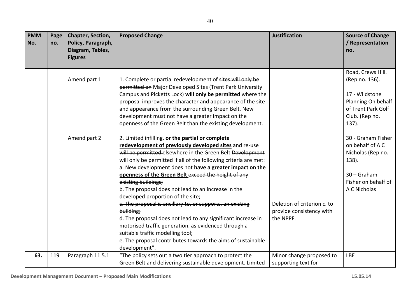| <b>PMM</b><br>No. | Page<br>no. | Chapter, Section,<br>Policy, Paragraph,<br>Diagram, Tables,<br><b>Figures</b> | <b>Proposed Change</b>                                                                                                                                                                                                                                                                                                                                                                                                                                                                                                                                                                                                                                                                                                                                                                                                                                                                                                                                                                                                                                                                                                                                                                                                                  | <b>Justification</b>                                                 | <b>Source of Change</b><br>/ Representation<br>no.                                                                                                                                                                                                              |
|-------------------|-------------|-------------------------------------------------------------------------------|-----------------------------------------------------------------------------------------------------------------------------------------------------------------------------------------------------------------------------------------------------------------------------------------------------------------------------------------------------------------------------------------------------------------------------------------------------------------------------------------------------------------------------------------------------------------------------------------------------------------------------------------------------------------------------------------------------------------------------------------------------------------------------------------------------------------------------------------------------------------------------------------------------------------------------------------------------------------------------------------------------------------------------------------------------------------------------------------------------------------------------------------------------------------------------------------------------------------------------------------|----------------------------------------------------------------------|-----------------------------------------------------------------------------------------------------------------------------------------------------------------------------------------------------------------------------------------------------------------|
|                   |             | Amend part 1<br>Amend part 2                                                  | 1. Complete or partial redevelopment of sites will only be<br>permitted on Major Developed Sites (Trent Park University<br>Campus and Picketts Lock) will only be permitted where the<br>proposal improves the character and appearance of the site<br>and appearance from the surrounding Green Belt. New<br>development must not have a greater impact on the<br>openness of the Green Belt than the existing development.<br>2. Limited infilling, or the partial or complete<br>redevelopment of previously developed sites and re-use<br>will be permitted elsewhere in the Green Belt Development<br>will only be permitted if all of the following criteria are met:<br>a. New development does not have a greater impact on the<br>openness of the Green Belt exceed the height of any<br>existing buildings;<br>b. The proposal does not lead to an increase in the<br>developed proportion of the site;<br>c. The proposal is ancillary to, or supports, an existing<br>building;<br>d. The proposal does not lead to any significant increase in<br>motorised traffic generation, as evidenced through a<br>suitable traffic modelling tool;<br>e. The proposal contributes towards the aims of sustainable<br>development". | Deletion of criterion c. to<br>provide consistency with<br>the NPPF. | Road, Crews Hill.<br>(Rep no. 136).<br>17 - Wildstone<br>Planning On behalf<br>of Trent Park Golf<br>Club. (Rep no.<br>$137$ ).<br>30 - Graham Fisher<br>on behalf of A C<br>Nicholas (Rep no.<br>138).<br>$30 -$ Graham<br>Fisher on behalf of<br>A C Nicholas |
| 63.               | 119         | Paragraph 11.5.1                                                              | "The policy sets out a two tier approach to protect the<br>Green Belt and delivering sustainable development. Limited                                                                                                                                                                                                                                                                                                                                                                                                                                                                                                                                                                                                                                                                                                                                                                                                                                                                                                                                                                                                                                                                                                                   | Minor change proposed to<br>supporting text for                      | <b>LBE</b>                                                                                                                                                                                                                                                      |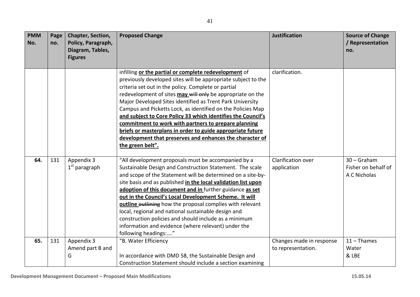| <b>PMM</b> | Page | Chapter, Section,             | <b>Proposed Change</b>                                                                                                    | <b>Justification</b>     | <b>Source of Change</b> |
|------------|------|-------------------------------|---------------------------------------------------------------------------------------------------------------------------|--------------------------|-------------------------|
| No.        | no.  | Policy, Paragraph,            |                                                                                                                           |                          | / Representation        |
|            |      | Diagram, Tables,              |                                                                                                                           |                          | no.                     |
|            |      | <b>Figures</b>                |                                                                                                                           |                          |                         |
|            |      |                               |                                                                                                                           |                          |                         |
|            |      |                               | infilling or the partial or complete redevelopment of                                                                     | clarification.           |                         |
|            |      |                               | previously developed sites will be appropriate subject to the                                                             |                          |                         |
|            |      |                               | criteria set out in the policy. Complete or partial                                                                       |                          |                         |
|            |      |                               | redevelopment of sites may will only be appropriate on the                                                                |                          |                         |
|            |      |                               | Major Developed Sites identified as Trent Park University                                                                 |                          |                         |
|            |      |                               | Campus and Picketts Lock, as identified on the Policies Map                                                               |                          |                         |
|            |      |                               | and subject to Core Policy 33 which identifies the Council's                                                              |                          |                         |
|            |      |                               | commitment to work with partners to prepare planning                                                                      |                          |                         |
|            |      |                               | briefs or masterplans in order to guide appropriate future                                                                |                          |                         |
|            |      |                               | development that preserves and enhances the character of                                                                  |                          |                         |
|            |      |                               | the green belt".                                                                                                          |                          |                         |
| 64.        |      |                               |                                                                                                                           | Clarification over       | 30 - Graham             |
|            | 131  | Appendix 3<br>$1st$ paragraph | "All development proposals must be accompanied by a<br>Sustainable Design and Construction Statement. The scale           |                          | Fisher on behalf of     |
|            |      |                               | and scope of the Statement will be determined on a site-by-                                                               | application              | A C Nicholas            |
|            |      |                               |                                                                                                                           |                          |                         |
|            |      |                               | site basis and as published in the local validation list upon<br>adoption of this document and in further guidance as set |                          |                         |
|            |      |                               | out in the Council's Local Development Scheme. It will                                                                    |                          |                         |
|            |      |                               |                                                                                                                           |                          |                         |
|            |      |                               | outline outlining how the proposal complies with relevant                                                                 |                          |                         |
|            |      |                               | local, regional and national sustainable design and                                                                       |                          |                         |
|            |      |                               | construction policies and should include as a minimum                                                                     |                          |                         |
|            |      |                               | information and evidence (where relevant) under the                                                                       |                          |                         |
|            |      |                               | following headings:"                                                                                                      |                          |                         |
| 65.        | 131  | Appendix 3                    | "B. Water Efficiency                                                                                                      | Changes made in response | $11 -$ Thames           |
|            |      | Amend part B and              |                                                                                                                           | to representation.       | Water                   |
|            |      | G                             | In accordance with DMD 58, the Sustainable Design and                                                                     |                          | & LBE                   |
|            |      |                               | Construction Statement should include a section examining                                                                 |                          |                         |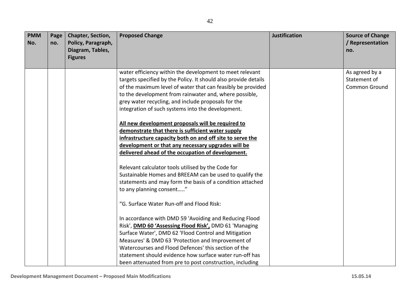| <b>PMM</b><br>No. | Page<br>no. | Chapter, Section,<br>Policy, Paragraph,<br>Diagram, Tables,<br><b>Figures</b> | <b>Proposed Change</b>                                          | <b>Justification</b> | <b>Source of Change</b><br>/ Representation<br>no. |
|-------------------|-------------|-------------------------------------------------------------------------------|-----------------------------------------------------------------|----------------------|----------------------------------------------------|
|                   |             |                                                                               | water efficiency within the development to meet relevant        |                      | As agreed by a                                     |
|                   |             |                                                                               | targets specified by the Policy. It should also provide details |                      | Statement of                                       |
|                   |             |                                                                               | of the maximum level of water that can feasibly be provided     |                      | <b>Common Ground</b>                               |
|                   |             |                                                                               | to the development from rainwater and, where possible,          |                      |                                                    |
|                   |             |                                                                               | grey water recycling, and include proposals for the             |                      |                                                    |
|                   |             |                                                                               | integration of such systems into the development.               |                      |                                                    |
|                   |             |                                                                               | All new development proposals will be required to               |                      |                                                    |
|                   |             |                                                                               | demonstrate that there is sufficient water supply               |                      |                                                    |
|                   |             |                                                                               | infrastructure capacity both on and off site to serve the       |                      |                                                    |
|                   |             |                                                                               | development or that any necessary upgrades will be              |                      |                                                    |
|                   |             |                                                                               | delivered ahead of the occupation of development.               |                      |                                                    |
|                   |             |                                                                               | Relevant calculator tools utilised by the Code for              |                      |                                                    |
|                   |             |                                                                               | Sustainable Homes and BREEAM can be used to qualify the         |                      |                                                    |
|                   |             |                                                                               | statements and may form the basis of a condition attached       |                      |                                                    |
|                   |             |                                                                               | to any planning consent"                                        |                      |                                                    |
|                   |             |                                                                               | "G. Surface Water Run-off and Flood Risk:                       |                      |                                                    |
|                   |             |                                                                               | In accordance with DMD 59 'Avoiding and Reducing Flood          |                      |                                                    |
|                   |             |                                                                               | Risk', <b>DMD 60 'Assessing Flood Risk', DMD 61 'Managing</b>   |                      |                                                    |
|                   |             |                                                                               | Surface Water', DMD 62 'Flood Control and Mitigation            |                      |                                                    |
|                   |             |                                                                               | Measures' & DMD 63 'Protection and Improvement of               |                      |                                                    |
|                   |             |                                                                               | Watercourses and Flood Defences' this section of the            |                      |                                                    |
|                   |             |                                                                               | statement should evidence how surface water run-off has         |                      |                                                    |
|                   |             |                                                                               | been attenuated from pre to post construction, including        |                      |                                                    |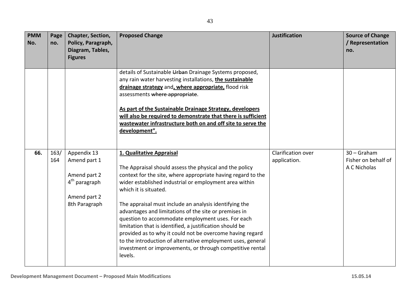| <b>PMM</b><br>No. | Page<br>no. | Chapter, Section,<br>Policy, Paragraph,<br>Diagram, Tables,<br><b>Figures</b>                             | <b>Proposed Change</b>                                                                                                                                                                                                                                                                                                                                                                                                                                                                                                                                                                                                                                                         | <b>Justification</b>               | <b>Source of Change</b><br>/ Representation<br>no.   |
|-------------------|-------------|-----------------------------------------------------------------------------------------------------------|--------------------------------------------------------------------------------------------------------------------------------------------------------------------------------------------------------------------------------------------------------------------------------------------------------------------------------------------------------------------------------------------------------------------------------------------------------------------------------------------------------------------------------------------------------------------------------------------------------------------------------------------------------------------------------|------------------------------------|------------------------------------------------------|
|                   |             |                                                                                                           | details of Sustainable Urban Drainage Systems proposed,<br>any rain water harvesting installations, the sustainable<br>drainage strategy and, where appropriate, flood risk<br>assessments where appropriate.<br>As part of the Sustainable Drainage Strategy, developers<br>will also be required to demonstrate that there is sufficient<br>wastewater infrastructure both on and off site to serve the<br>development".                                                                                                                                                                                                                                                     |                                    |                                                      |
| 66.               | 163/<br>164 | Appendix 13<br>Amend part 1<br>Amend part 2<br>4 <sup>th</sup> paragraph<br>Amend part 2<br>8th Paragraph | 1. Qualitative Appraisal<br>The Appraisal should assess the physical and the policy<br>context for the site, where appropriate having regard to the<br>wider established industrial or employment area within<br>which it is situated.<br>The appraisal must include an analysis identifying the<br>advantages and limitations of the site or premises in<br>question to accommodate employment uses. For each<br>limitation that is identified, a justification should be<br>provided as to why it could not be overcome having regard<br>to the introduction of alternative employment uses, general<br>investment or improvements, or through competitive rental<br>levels. | Clarification over<br>application. | $30 -$ Graham<br>Fisher on behalf of<br>A C Nicholas |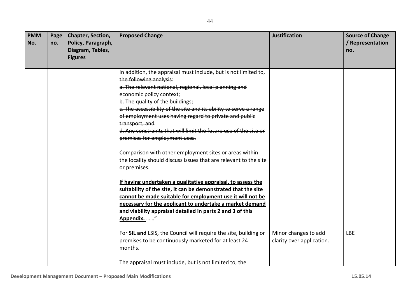| <b>PMM</b><br>No. | Page<br>no. | Chapter, Section,<br>Policy, Paragraph,<br>Diagram, Tables,<br><b>Figures</b> | <b>Proposed Change</b>                                                                                                                                                                                                                                                                                                                                                                                                                                                                                                                                                                                                                                                                                                                                                                                                                                                                                                                         | <b>Justification</b>                              | <b>Source of Change</b><br>/ Representation<br>no. |
|-------------------|-------------|-------------------------------------------------------------------------------|------------------------------------------------------------------------------------------------------------------------------------------------------------------------------------------------------------------------------------------------------------------------------------------------------------------------------------------------------------------------------------------------------------------------------------------------------------------------------------------------------------------------------------------------------------------------------------------------------------------------------------------------------------------------------------------------------------------------------------------------------------------------------------------------------------------------------------------------------------------------------------------------------------------------------------------------|---------------------------------------------------|----------------------------------------------------|
|                   |             |                                                                               | In addition, the appraisal must include, but is not limited to,<br>the following analysis:<br>a. The relevant national, regional, local planning and<br>economic policy context;<br>b. The quality of the buildings;<br>e. The accessibility of the site and its ability to serve a range<br>of employment uses having regard to private and public<br>transport; and<br>d. Any constraints that will limit the future use of the site or<br>premises for employment uses.<br>Comparison with other employment sites or areas within<br>the locality should discuss issues that are relevant to the site<br>or premises.<br>If having undertaken a qualitative appraisal, to assess the<br>suitability of the site, it can be demonstrated that the site<br>cannot be made suitable for employment use it will not be<br>necessary for the applicant to undertake a market demand<br>and viability appraisal detailed in parts 2 and 3 of this |                                                   |                                                    |
|                   |             |                                                                               | Appendix. "<br>For SIL and LSIS, the Council will require the site, building or<br>premises to be continuously marketed for at least 24<br>months.<br>The appraisal must include, but is not limited to, the                                                                                                                                                                                                                                                                                                                                                                                                                                                                                                                                                                                                                                                                                                                                   | Minor changes to add<br>clarity over application. | <b>LBE</b>                                         |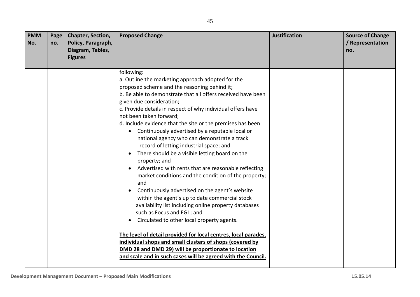| <b>PMM</b><br>No. | Page<br>no. | Chapter, Section,<br>Policy, Paragraph,<br>Diagram, Tables,<br><b>Figures</b> | <b>Proposed Change</b>                                                                                                                                                                                                                                                                                                                                                                                                                                                                                                                                                                                                                                                                                                                                                                                                                                                                                                                                                                                                                                                                                                                                                                                                               | <b>Justification</b> | <b>Source of Change</b><br>/ Representation<br>no. |
|-------------------|-------------|-------------------------------------------------------------------------------|--------------------------------------------------------------------------------------------------------------------------------------------------------------------------------------------------------------------------------------------------------------------------------------------------------------------------------------------------------------------------------------------------------------------------------------------------------------------------------------------------------------------------------------------------------------------------------------------------------------------------------------------------------------------------------------------------------------------------------------------------------------------------------------------------------------------------------------------------------------------------------------------------------------------------------------------------------------------------------------------------------------------------------------------------------------------------------------------------------------------------------------------------------------------------------------------------------------------------------------|----------------------|----------------------------------------------------|
|                   |             |                                                                               | following:<br>a. Outline the marketing approach adopted for the<br>proposed scheme and the reasoning behind it;<br>b. Be able to demonstrate that all offers received have been<br>given due consideration;<br>c. Provide details in respect of why individual offers have<br>not been taken forward;<br>d. Include evidence that the site or the premises has been:<br>Continuously advertised by a reputable local or<br>national agency who can demonstrate a track<br>record of letting industrial space; and<br>There should be a visible letting board on the<br>property; and<br>Advertised with rents that are reasonable reflecting<br>$\bullet$<br>market conditions and the condition of the property;<br>and<br>Continuously advertised on the agent's website<br>$\bullet$<br>within the agent's up to date commercial stock<br>availability list including online property databases<br>such as Focus and EGI; and<br>Circulated to other local property agents.<br>The level of detail provided for local centres, local parades,<br>individual shops and small clusters of shops (covered by<br>DMD 28 and DMD 29) will be proportionate to location<br>and scale and in such cases will be agreed with the Council. |                      |                                                    |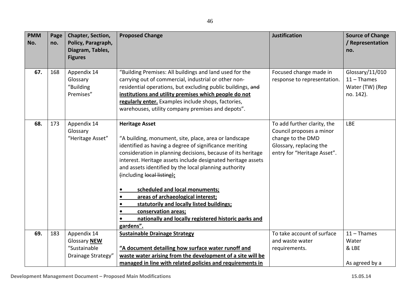| <b>PMM</b><br>No. | Page<br>no. | Chapter, Section,<br>Policy, Paragraph,<br>Diagram, Tables,       | <b>Proposed Change</b>                                                                                                                                                                                                                                                                                                                                                                                                                                                                                                                                                                                                 | <b>Justification</b>                                                                                                                   | <b>Source of Change</b><br>/ Representation<br>no.               |
|-------------------|-------------|-------------------------------------------------------------------|------------------------------------------------------------------------------------------------------------------------------------------------------------------------------------------------------------------------------------------------------------------------------------------------------------------------------------------------------------------------------------------------------------------------------------------------------------------------------------------------------------------------------------------------------------------------------------------------------------------------|----------------------------------------------------------------------------------------------------------------------------------------|------------------------------------------------------------------|
|                   |             | <b>Figures</b>                                                    |                                                                                                                                                                                                                                                                                                                                                                                                                                                                                                                                                                                                                        |                                                                                                                                        |                                                                  |
| 67.               | 168         | Appendix 14<br>Glossary<br>"Building<br>Premises"                 | "Building Premises: All buildings and land used for the<br>carrying out of commercial, industrial or other non-<br>residential operations, but excluding public buildings, and<br>institutions and utility premises which people do not<br>regularly enter. Examples include shops, factories,<br>warehouses, utility company premises and depots".                                                                                                                                                                                                                                                                    | Focused change made in<br>response to representation.                                                                                  | Glossary/11/010<br>$11 -$ Thames<br>Water (TW) (Rep<br>no. 142). |
| 68.               | 173         | Appendix 14<br>Glossary<br>"Heritage Asset"                       | <b>Heritage Asset</b><br>"A building, monument, site, place, area or landscape<br>identified as having a degree of significance meriting<br>consideration in planning decisions, because of its heritage<br>interest. Heritage assets include designated heritage assets<br>and assets identified by the local planning authority<br>(including local listing):<br>scheduled and local monuments;<br>$\bullet$<br>areas of archaeological interest;<br>statutorily and locally listed buildings;<br>$\bullet$<br>conservation areas;<br>$\bullet$<br>nationally and locally registered historic parks and<br>gardens". | To add further clarity, the<br>Council proposes a minor<br>change to the DMD<br>Glossary, replacing the<br>entry for "Heritage Asset". | <b>LBE</b>                                                       |
| 69.               | 183         | Appendix 14<br>Glossary NEW<br>"Sustainable<br>Drainage Strategy" | <b>Sustainable Drainage Strategy</b><br>"A document detailing how surface water runoff and<br>waste water arising from the development of a site will be                                                                                                                                                                                                                                                                                                                                                                                                                                                               | To take account of surface<br>and waste water<br>requirements.                                                                         | $11 -$ Thames<br>Water<br>& LBE                                  |
|                   |             |                                                                   | managed in line with related policies and requirements in                                                                                                                                                                                                                                                                                                                                                                                                                                                                                                                                                              |                                                                                                                                        | As agreed by a                                                   |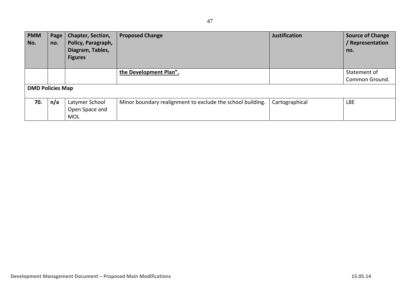| <b>PMM</b><br>No. | Page<br>no.             | <b>Chapter, Section,</b><br>Policy, Paragraph,<br>Diagram, Tables,<br><b>Figures</b> | <b>Proposed Change</b>                                     | <b>Justification</b> | <b>Source of Change</b><br>Representation<br>no. |  |  |
|-------------------|-------------------------|--------------------------------------------------------------------------------------|------------------------------------------------------------|----------------------|--------------------------------------------------|--|--|
|                   |                         |                                                                                      | the Development Plan".                                     |                      | Statement of                                     |  |  |
|                   |                         |                                                                                      |                                                            |                      | Common Ground.                                   |  |  |
|                   | <b>DMD Policies Map</b> |                                                                                      |                                                            |                      |                                                  |  |  |
| 70.               | n/a                     | Latymer School                                                                       | Minor boundary realignment to exclude the school building. | Cartographical       | <b>LBE</b>                                       |  |  |
|                   |                         | Open Space and                                                                       |                                                            |                      |                                                  |  |  |
|                   |                         | <b>MOL</b>                                                                           |                                                            |                      |                                                  |  |  |